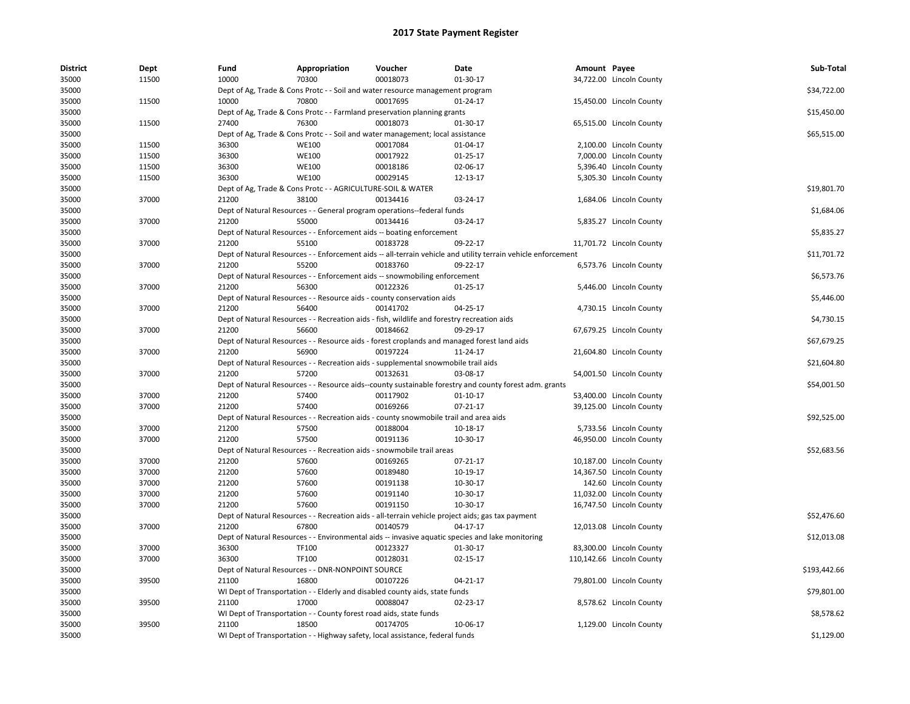| <b>District</b> | Dept  | Fund  | Appropriation                                                                               | Voucher  | Date                                                                                                          | Amount Payee |                           | Sub-Total    |
|-----------------|-------|-------|---------------------------------------------------------------------------------------------|----------|---------------------------------------------------------------------------------------------------------------|--------------|---------------------------|--------------|
| 35000           | 11500 | 10000 | 70300                                                                                       | 00018073 | 01-30-17                                                                                                      |              | 34,722.00 Lincoln County  |              |
| 35000           |       |       | Dept of Ag, Trade & Cons Protc - - Soil and water resource management program               |          |                                                                                                               |              |                           | \$34,722.00  |
| 35000           | 11500 | 10000 | 70800                                                                                       | 00017695 | 01-24-17                                                                                                      |              | 15,450.00 Lincoln County  |              |
| 35000           |       |       | Dept of Ag, Trade & Cons Protc - - Farmland preservation planning grants                    |          |                                                                                                               |              |                           | \$15,450.00  |
| 35000           | 11500 | 27400 | 76300                                                                                       | 00018073 | 01-30-17                                                                                                      |              | 65,515.00 Lincoln County  |              |
| 35000           |       |       | Dept of Ag, Trade & Cons Protc - - Soil and water management; local assistance              |          |                                                                                                               |              |                           | \$65,515.00  |
| 35000           | 11500 | 36300 | <b>WE100</b>                                                                                | 00017084 | 01-04-17                                                                                                      |              | 2,100.00 Lincoln County   |              |
| 35000           | 11500 | 36300 | <b>WE100</b>                                                                                | 00017922 | $01-25-17$                                                                                                    |              | 7,000.00 Lincoln County   |              |
| 35000           | 11500 | 36300 | <b>WE100</b>                                                                                | 00018186 | 02-06-17                                                                                                      |              | 5,396.40 Lincoln County   |              |
| 35000           | 11500 | 36300 | <b>WE100</b>                                                                                | 00029145 | 12-13-17                                                                                                      |              | 5,305.30 Lincoln County   |              |
| 35000           |       |       | Dept of Ag, Trade & Cons Protc - - AGRICULTURE-SOIL & WATER                                 |          |                                                                                                               |              |                           | \$19,801.70  |
| 35000           | 37000 | 21200 | 38100                                                                                       | 00134416 | 03-24-17                                                                                                      |              | 1,684.06 Lincoln County   |              |
| 35000           |       |       | Dept of Natural Resources - - General program operations--federal funds                     |          |                                                                                                               |              |                           | \$1,684.06   |
| 35000           | 37000 | 21200 | 55000                                                                                       | 00134416 | 03-24-17                                                                                                      |              | 5,835.27 Lincoln County   |              |
| 35000           |       |       | Dept of Natural Resources - - Enforcement aids -- boating enforcement                       |          |                                                                                                               |              |                           | \$5,835.27   |
| 35000           | 37000 | 21200 | 55100                                                                                       | 00183728 | 09-22-17                                                                                                      |              | 11,701.72 Lincoln County  |              |
| 35000           |       |       |                                                                                             |          | Dept of Natural Resources - - Enforcement aids -- all-terrain vehicle and utility terrain vehicle enforcement |              |                           | \$11,701.72  |
| 35000           | 37000 | 21200 | 55200                                                                                       | 00183760 | 09-22-17                                                                                                      |              | 6,573.76 Lincoln County   |              |
| 35000           |       |       | Dept of Natural Resources - - Enforcement aids -- snowmobiling enforcement                  |          |                                                                                                               |              |                           | \$6,573.76   |
| 35000           | 37000 | 21200 | 56300                                                                                       | 00122326 | 01-25-17                                                                                                      |              | 5,446.00 Lincoln County   |              |
| 35000           |       |       | Dept of Natural Resources - - Resource aids - county conservation aids                      |          |                                                                                                               |              |                           | \$5,446.00   |
| 35000           | 37000 | 21200 | 56400                                                                                       | 00141702 | 04-25-17                                                                                                      |              | 4,730.15 Lincoln County   |              |
| 35000           |       |       | Dept of Natural Resources - - Recreation aids - fish, wildlife and forestry recreation aids |          |                                                                                                               |              |                           | \$4,730.15   |
| 35000           | 37000 | 21200 | 56600                                                                                       | 00184662 | 09-29-17                                                                                                      |              | 67,679.25 Lincoln County  |              |
| 35000           |       |       |                                                                                             |          | Dept of Natural Resources - - Resource aids - forest croplands and managed forest land aids                   |              |                           | \$67,679.25  |
| 35000           | 37000 | 21200 | 56900                                                                                       | 00197224 | 11-24-17                                                                                                      |              | 21,604.80 Lincoln County  |              |
| 35000           |       |       | Dept of Natural Resources - - Recreation aids - supplemental snowmobile trail aids          |          |                                                                                                               |              |                           | \$21,604.80  |
| 35000           | 37000 | 21200 | 57200                                                                                       | 00132631 | 03-08-17                                                                                                      |              | 54,001.50 Lincoln County  |              |
| 35000           |       |       |                                                                                             |          | Dept of Natural Resources - - Resource aids--county sustainable forestry and county forest adm. grants        |              |                           | \$54,001.50  |
| 35000           | 37000 | 21200 | 57400                                                                                       | 00117902 | $01-10-17$                                                                                                    |              | 53,400.00 Lincoln County  |              |
| 35000           | 37000 | 21200 | 57400                                                                                       | 00169266 | $07 - 21 - 17$                                                                                                |              | 39,125.00 Lincoln County  |              |
| 35000           |       |       | Dept of Natural Resources - - Recreation aids - county snowmobile trail and area aids       |          |                                                                                                               |              |                           | \$92,525.00  |
| 35000           | 37000 | 21200 | 57500                                                                                       | 00188004 | 10-18-17                                                                                                      |              | 5,733.56 Lincoln County   |              |
| 35000           | 37000 | 21200 | 57500                                                                                       | 00191136 | 10-30-17                                                                                                      |              | 46,950.00 Lincoln County  |              |
| 35000           |       |       | Dept of Natural Resources - - Recreation aids - snowmobile trail areas                      |          |                                                                                                               |              |                           | \$52,683.56  |
| 35000           | 37000 | 21200 | 57600                                                                                       | 00169265 | 07-21-17                                                                                                      |              | 10,187.00 Lincoln County  |              |
| 35000           | 37000 | 21200 | 57600                                                                                       | 00189480 | 10-19-17                                                                                                      |              | 14,367.50 Lincoln County  |              |
| 35000           | 37000 | 21200 | 57600                                                                                       | 00191138 | 10-30-17                                                                                                      |              | 142.60 Lincoln County     |              |
| 35000           | 37000 | 21200 | 57600                                                                                       | 00191140 | 10-30-17                                                                                                      |              | 11,032.00 Lincoln County  |              |
| 35000           | 37000 | 21200 | 57600                                                                                       | 00191150 |                                                                                                               |              |                           |              |
| 35000           |       |       |                                                                                             |          | 10-30-17                                                                                                      |              | 16,747.50 Lincoln County  | \$52,476.60  |
|                 | 37000 | 21200 | 67800                                                                                       | 00140579 | Dept of Natural Resources - - Recreation aids - all-terrain vehicle project aids; gas tax payment             |              |                           |              |
| 35000           |       |       |                                                                                             |          | 04-17-17                                                                                                      |              | 12,013.08 Lincoln County  |              |
| 35000           |       |       |                                                                                             |          | Dept of Natural Resources - - Environmental aids -- invasive aquatic species and lake monitoring              |              |                           | \$12,013.08  |
| 35000           | 37000 | 36300 | TF100                                                                                       | 00123327 | 01-30-17                                                                                                      |              | 83,300.00 Lincoln County  |              |
| 35000           | 37000 | 36300 | <b>TF100</b>                                                                                | 00128031 | 02-15-17                                                                                                      |              | 110,142.66 Lincoln County |              |
| 35000           |       |       | Dept of Natural Resources - - DNR-NONPOINT SOURCE                                           |          |                                                                                                               |              |                           | \$193,442.66 |
| 35000           | 39500 | 21100 | 16800                                                                                       | 00107226 | 04-21-17                                                                                                      |              | 79,801.00 Lincoln County  |              |
| 35000           |       |       | WI Dept of Transportation - - Elderly and disabled county aids, state funds                 |          |                                                                                                               |              |                           | \$79,801.00  |
| 35000           | 39500 | 21100 | 17000                                                                                       | 00088047 | 02-23-17                                                                                                      |              | 8,578.62 Lincoln County   |              |
| 35000           |       |       | WI Dept of Transportation - - County forest road aids, state funds                          |          |                                                                                                               |              |                           | \$8,578.62   |
| 35000           | 39500 | 21100 | 18500                                                                                       | 00174705 | 10-06-17                                                                                                      |              | 1,129.00 Lincoln County   |              |
| 35000           |       |       | WI Dept of Transportation - - Highway safety, local assistance, federal funds               |          |                                                                                                               |              |                           | \$1,129.00   |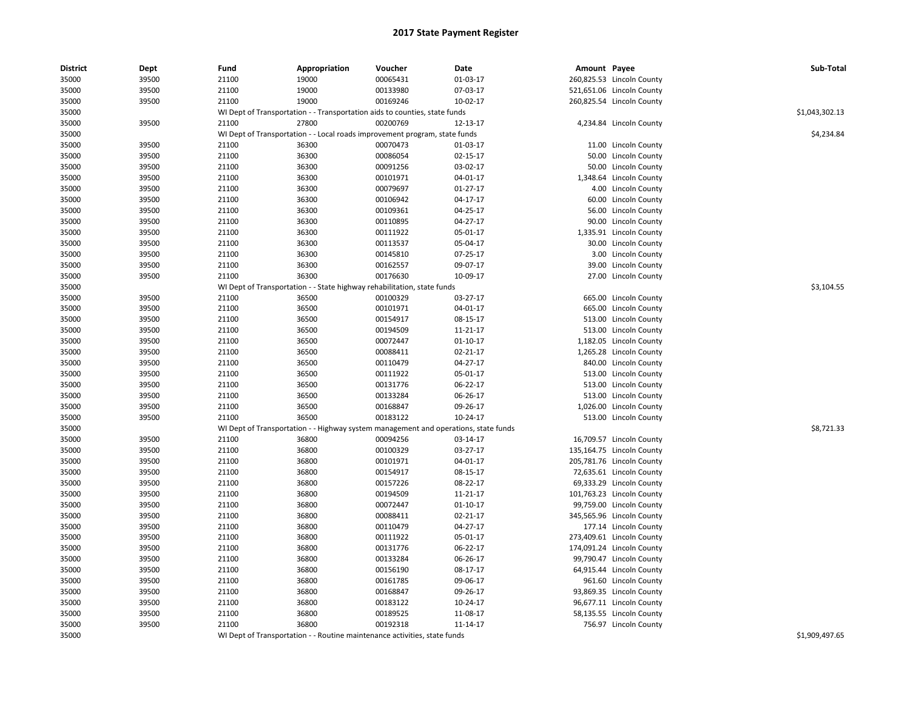| <b>District</b> | Dept  | Fund                                                                                | Appropriation                                                              | Voucher  | Date       | Amount Payee |                           | Sub-Total      |
|-----------------|-------|-------------------------------------------------------------------------------------|----------------------------------------------------------------------------|----------|------------|--------------|---------------------------|----------------|
| 35000           | 39500 | 21100                                                                               | 19000                                                                      | 00065431 | 01-03-17   |              | 260,825.53 Lincoln County |                |
| 35000           | 39500 | 21100                                                                               | 19000                                                                      | 00133980 | 07-03-17   |              | 521,651.06 Lincoln County |                |
| 35000           | 39500 | 21100                                                                               | 19000                                                                      | 00169246 | $10-02-17$ |              | 260,825.54 Lincoln County |                |
| 35000           |       |                                                                                     | WI Dept of Transportation - - Transportation aids to counties, state funds |          |            |              |                           | \$1,043,302.13 |
| 35000           | 39500 | 21100                                                                               | 27800                                                                      | 00200769 | 12-13-17   |              | 4,234.84 Lincoln County   |                |
| 35000           |       | WI Dept of Transportation - - Local roads improvement program, state funds          |                                                                            |          |            |              |                           | \$4,234.84     |
| 35000           | 39500 | 21100                                                                               | 36300                                                                      | 00070473 | 01-03-17   |              | 11.00 Lincoln County      |                |
| 35000           | 39500 | 21100                                                                               | 36300                                                                      | 00086054 | 02-15-17   |              | 50.00 Lincoln County      |                |
| 35000           | 39500 | 21100                                                                               | 36300                                                                      | 00091256 | 03-02-17   |              | 50.00 Lincoln County      |                |
| 35000           | 39500 | 21100                                                                               | 36300                                                                      | 00101971 | 04-01-17   |              | 1,348.64 Lincoln County   |                |
| 35000           | 39500 | 21100                                                                               | 36300                                                                      | 00079697 | $01-27-17$ |              | 4.00 Lincoln County       |                |
| 35000           | 39500 | 21100                                                                               | 36300                                                                      | 00106942 | 04-17-17   |              | 60.00 Lincoln County      |                |
| 35000           | 39500 | 21100                                                                               | 36300                                                                      | 00109361 | 04-25-17   |              | 56.00 Lincoln County      |                |
| 35000           | 39500 | 21100                                                                               | 36300                                                                      | 00110895 | 04-27-17   |              | 90.00 Lincoln County      |                |
| 35000           | 39500 | 21100                                                                               | 36300                                                                      | 00111922 | 05-01-17   |              | 1,335.91 Lincoln County   |                |
| 35000           | 39500 | 21100                                                                               | 36300                                                                      | 00113537 | 05-04-17   |              | 30.00 Lincoln County      |                |
| 35000           | 39500 | 21100                                                                               | 36300                                                                      | 00145810 | 07-25-17   |              | 3.00 Lincoln County       |                |
| 35000           | 39500 | 21100                                                                               | 36300                                                                      | 00162557 | 09-07-17   |              | 39.00 Lincoln County      |                |
| 35000           | 39500 | 21100                                                                               | 36300                                                                      | 00176630 | 10-09-17   |              | 27.00 Lincoln County      |                |
| 35000           |       |                                                                                     | WI Dept of Transportation - - State highway rehabilitation, state funds    |          |            |              |                           | \$3,104.55     |
| 35000           | 39500 | 21100                                                                               | 36500                                                                      | 00100329 | 03-27-17   |              | 665.00 Lincoln County     |                |
| 35000           | 39500 | 21100                                                                               | 36500                                                                      | 00101971 | 04-01-17   |              | 665.00 Lincoln County     |                |
| 35000           | 39500 | 21100                                                                               | 36500                                                                      | 00154917 | 08-15-17   |              | 513.00 Lincoln County     |                |
| 35000           | 39500 | 21100                                                                               | 36500                                                                      | 00194509 | 11-21-17   |              | 513.00 Lincoln County     |                |
| 35000           | 39500 | 21100                                                                               | 36500                                                                      | 00072447 | $01-10-17$ |              | 1,182.05 Lincoln County   |                |
| 35000           | 39500 | 21100                                                                               | 36500                                                                      | 00088411 | 02-21-17   |              | 1,265.28 Lincoln County   |                |
| 35000           | 39500 | 21100                                                                               | 36500                                                                      | 00110479 | 04-27-17   |              | 840.00 Lincoln County     |                |
| 35000           | 39500 | 21100                                                                               | 36500                                                                      | 00111922 | 05-01-17   |              | 513.00 Lincoln County     |                |
| 35000           | 39500 | 21100                                                                               | 36500                                                                      | 00131776 | 06-22-17   |              | 513.00 Lincoln County     |                |
| 35000           | 39500 | 21100                                                                               | 36500                                                                      | 00133284 | 06-26-17   |              | 513.00 Lincoln County     |                |
| 35000           | 39500 | 21100                                                                               | 36500                                                                      | 00168847 | 09-26-17   |              | 1,026.00 Lincoln County   |                |
| 35000           | 39500 | 21100                                                                               | 36500                                                                      | 00183122 | 10-24-17   |              | 513.00 Lincoln County     |                |
| 35000           |       | WI Dept of Transportation - - Highway system management and operations, state funds |                                                                            |          |            |              |                           | \$8,721.33     |
| 35000           | 39500 | 21100                                                                               | 36800                                                                      | 00094256 | 03-14-17   |              | 16,709.57 Lincoln County  |                |
| 35000           | 39500 | 21100                                                                               | 36800                                                                      | 00100329 | 03-27-17   |              | 135,164.75 Lincoln County |                |
| 35000           | 39500 | 21100                                                                               | 36800                                                                      | 00101971 | 04-01-17   |              | 205,781.76 Lincoln County |                |
| 35000           | 39500 | 21100                                                                               | 36800                                                                      | 00154917 | 08-15-17   |              | 72,635.61 Lincoln County  |                |
| 35000           | 39500 | 21100                                                                               | 36800                                                                      | 00157226 | 08-22-17   |              | 69,333.29 Lincoln County  |                |
| 35000           | 39500 | 21100                                                                               | 36800                                                                      | 00194509 | 11-21-17   |              | 101,763.23 Lincoln County |                |
| 35000           | 39500 | 21100                                                                               | 36800                                                                      | 00072447 | $01-10-17$ |              | 99,759.00 Lincoln County  |                |
| 35000           | 39500 | 21100                                                                               | 36800                                                                      | 00088411 | 02-21-17   |              | 345,565.96 Lincoln County |                |
| 35000           | 39500 | 21100                                                                               | 36800                                                                      | 00110479 | 04-27-17   |              | 177.14 Lincoln County     |                |
| 35000           | 39500 | 21100                                                                               | 36800                                                                      | 00111922 | 05-01-17   |              | 273,409.61 Lincoln County |                |
| 35000           | 39500 | 21100                                                                               | 36800                                                                      | 00131776 | 06-22-17   |              | 174,091.24 Lincoln County |                |
| 35000           | 39500 | 21100                                                                               | 36800                                                                      | 00133284 | 06-26-17   |              | 99,790.47 Lincoln County  |                |
| 35000           | 39500 | 21100                                                                               | 36800                                                                      | 00156190 | 08-17-17   |              | 64,915.44 Lincoln County  |                |
| 35000           | 39500 | 21100                                                                               | 36800                                                                      | 00161785 | 09-06-17   |              | 961.60 Lincoln County     |                |
| 35000           | 39500 | 21100                                                                               | 36800                                                                      | 00168847 | 09-26-17   |              | 93,869.35 Lincoln County  |                |
| 35000           | 39500 | 21100                                                                               | 36800                                                                      | 00183122 | 10-24-17   |              | 96,677.11 Lincoln County  |                |
| 35000           | 39500 | 21100                                                                               | 36800                                                                      | 00189525 | 11-08-17   |              | 58,135.55 Lincoln County  |                |
| 35000           | 39500 | 21100                                                                               | 36800                                                                      | 00192318 | 11-14-17   |              | 756.97 Lincoln County     |                |
| 35000           |       |                                                                                     | WI Dept of Transportation - - Routine maintenance activities, state funds  |          |            |              |                           | \$1,909,497.65 |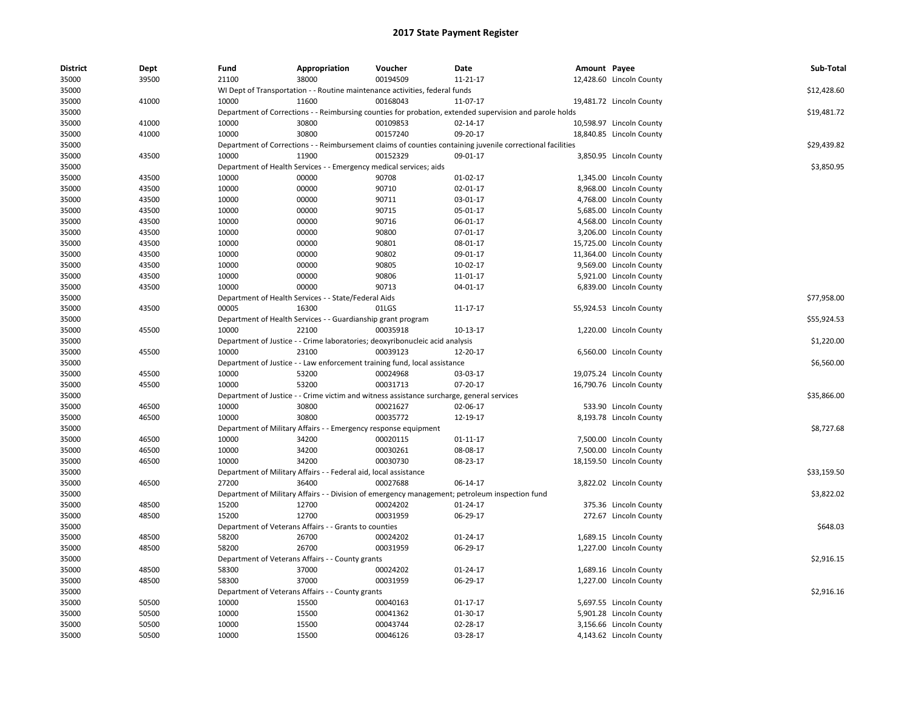| <b>District</b> | Dept  | Fund  | Appropriation                                                      | Voucher                                                                                   | Date                                                                                                       | Amount Payee |                          | Sub-Total   |
|-----------------|-------|-------|--------------------------------------------------------------------|-------------------------------------------------------------------------------------------|------------------------------------------------------------------------------------------------------------|--------------|--------------------------|-------------|
| 35000           | 39500 | 21100 | 38000                                                              | 00194509                                                                                  | 11-21-17                                                                                                   |              | 12,428.60 Lincoln County |             |
| 35000           |       |       |                                                                    | WI Dept of Transportation - - Routine maintenance activities, federal funds               |                                                                                                            |              |                          | \$12,428.60 |
| 35000           | 41000 | 10000 | 11600                                                              | 00168043                                                                                  | 11-07-17                                                                                                   |              | 19,481.72 Lincoln County |             |
| 35000           |       |       |                                                                    |                                                                                           | Department of Corrections - - Reimbursing counties for probation, extended supervision and parole holds    |              |                          | \$19,481.72 |
| 35000           | 41000 | 10000 | 30800                                                              | 00109853                                                                                  | 02-14-17                                                                                                   |              | 10,598.97 Lincoln County |             |
| 35000           | 41000 | 10000 | 30800                                                              | 00157240                                                                                  | 09-20-17                                                                                                   |              | 18,840.85 Lincoln County |             |
| 35000           |       |       |                                                                    |                                                                                           | Department of Corrections - - Reimbursement claims of counties containing juvenile correctional facilities |              |                          | \$29,439.82 |
| 35000           | 43500 | 10000 | 11900                                                              | 00152329                                                                                  | 09-01-17                                                                                                   |              | 3,850.95 Lincoln County  |             |
| 35000           |       |       | Department of Health Services - - Emergency medical services; aids |                                                                                           |                                                                                                            |              |                          | \$3,850.95  |
| 35000           | 43500 | 10000 | 00000                                                              | 90708                                                                                     | 01-02-17                                                                                                   |              | 1,345.00 Lincoln County  |             |
| 35000           | 43500 | 10000 | 00000                                                              | 90710                                                                                     | 02-01-17                                                                                                   |              | 8,968.00 Lincoln County  |             |
| 35000           | 43500 | 10000 | 00000                                                              | 90711                                                                                     | 03-01-17                                                                                                   |              | 4,768.00 Lincoln County  |             |
| 35000           | 43500 | 10000 | 00000                                                              | 90715                                                                                     | 05-01-17                                                                                                   |              | 5,685.00 Lincoln County  |             |
| 35000           | 43500 | 10000 | 00000                                                              | 90716                                                                                     | 06-01-17                                                                                                   |              | 4,568.00 Lincoln County  |             |
| 35000           | 43500 | 10000 | 00000                                                              | 90800                                                                                     | 07-01-17                                                                                                   |              | 3,206.00 Lincoln County  |             |
| 35000           | 43500 | 10000 | 00000                                                              | 90801                                                                                     | 08-01-17                                                                                                   |              | 15,725.00 Lincoln County |             |
| 35000           | 43500 | 10000 | 00000                                                              | 90802                                                                                     | 09-01-17                                                                                                   |              | 11,364.00 Lincoln County |             |
| 35000           | 43500 | 10000 | 00000                                                              | 90805                                                                                     | 10-02-17                                                                                                   |              | 9,569.00 Lincoln County  |             |
| 35000           | 43500 | 10000 | 00000                                                              | 90806                                                                                     | 11-01-17                                                                                                   |              | 5,921.00 Lincoln County  |             |
| 35000           | 43500 | 10000 | 00000                                                              | 90713                                                                                     | 04-01-17                                                                                                   |              | 6,839.00 Lincoln County  |             |
| 35000           |       |       | Department of Health Services - - State/Federal Aids               |                                                                                           |                                                                                                            |              |                          | \$77,958.00 |
| 35000           | 43500 | 00005 | 16300                                                              | 01LGS                                                                                     | 11-17-17                                                                                                   |              | 55,924.53 Lincoln County |             |
| 35000           |       |       | Department of Health Services - - Guardianship grant program       |                                                                                           |                                                                                                            |              |                          | \$55,924.53 |
| 35000           | 45500 | 10000 | 22100                                                              | 00035918                                                                                  | 10-13-17                                                                                                   |              | 1,220.00 Lincoln County  |             |
| 35000           |       |       |                                                                    | Department of Justice - - Crime laboratories; deoxyribonucleic acid analysis              |                                                                                                            |              |                          | \$1,220.00  |
| 35000           | 45500 | 10000 | 23100                                                              | 00039123                                                                                  | 12-20-17                                                                                                   |              | 6,560.00 Lincoln County  |             |
| 35000           |       |       |                                                                    | Department of Justice - - Law enforcement training fund, local assistance                 |                                                                                                            |              |                          | \$6,560.00  |
| 35000           | 45500 | 10000 | 53200                                                              | 00024968                                                                                  | 03-03-17                                                                                                   |              | 19,075.24 Lincoln County |             |
| 35000           | 45500 | 10000 | 53200                                                              | 00031713                                                                                  | 07-20-17                                                                                                   |              | 16,790.76 Lincoln County |             |
| 35000           |       |       |                                                                    | Department of Justice - - Crime victim and witness assistance surcharge, general services |                                                                                                            |              |                          | \$35,866.00 |
| 35000           | 46500 | 10000 | 30800                                                              | 00021627                                                                                  | 02-06-17                                                                                                   |              | 533.90 Lincoln County    |             |
| 35000           | 46500 | 10000 | 30800                                                              | 00035772                                                                                  | 12-19-17                                                                                                   |              | 8,193.78 Lincoln County  |             |
| 35000           |       |       | Department of Military Affairs - - Emergency response equipment    |                                                                                           |                                                                                                            |              |                          | \$8,727.68  |
| 35000           | 46500 | 10000 | 34200                                                              | 00020115                                                                                  | 01-11-17                                                                                                   |              | 7,500.00 Lincoln County  |             |
| 35000           | 46500 | 10000 | 34200                                                              | 00030261                                                                                  | 08-08-17                                                                                                   |              | 7,500.00 Lincoln County  |             |
| 35000           | 46500 | 10000 | 34200                                                              | 00030730                                                                                  | 08-23-17                                                                                                   |              | 18,159.50 Lincoln County |             |
| 35000           |       |       | Department of Military Affairs - - Federal aid, local assistance   |                                                                                           |                                                                                                            |              |                          | \$33,159.50 |
| 35000           | 46500 | 27200 | 36400                                                              | 00027688                                                                                  | 06-14-17                                                                                                   |              | 3,822.02 Lincoln County  |             |
| 35000           |       |       |                                                                    |                                                                                           | Department of Military Affairs - - Division of emergency management; petroleum inspection fund             |              |                          | \$3,822.02  |
| 35000           | 48500 | 15200 | 12700                                                              | 00024202                                                                                  | 01-24-17                                                                                                   |              | 375.36 Lincoln County    |             |
| 35000           | 48500 | 15200 | 12700                                                              | 00031959                                                                                  | 06-29-17                                                                                                   |              | 272.67 Lincoln County    |             |
| 35000           |       |       | Department of Veterans Affairs - - Grants to counties              |                                                                                           |                                                                                                            |              |                          | \$648.03    |
| 35000           | 48500 | 58200 | 26700                                                              | 00024202                                                                                  | 01-24-17                                                                                                   |              | 1,689.15 Lincoln County  |             |
| 35000           | 48500 | 58200 | 26700                                                              | 00031959                                                                                  | 06-29-17                                                                                                   |              | 1,227.00 Lincoln County  |             |
| 35000           |       |       | Department of Veterans Affairs - - County grants                   |                                                                                           |                                                                                                            |              |                          | \$2,916.15  |
| 35000           | 48500 | 58300 | 37000                                                              | 00024202                                                                                  | 01-24-17                                                                                                   |              | 1,689.16 Lincoln County  |             |
| 35000           | 48500 | 58300 | 37000                                                              | 00031959                                                                                  | 06-29-17                                                                                                   |              | 1,227.00 Lincoln County  |             |
| 35000           |       |       | Department of Veterans Affairs - - County grants                   |                                                                                           |                                                                                                            |              |                          | \$2,916.16  |
| 35000           | 50500 | 10000 | 15500                                                              | 00040163                                                                                  | $01 - 17 - 17$                                                                                             |              | 5,697.55 Lincoln County  |             |
| 35000           | 50500 | 10000 | 15500                                                              | 00041362                                                                                  | 01-30-17                                                                                                   |              | 5,901.28 Lincoln County  |             |
| 35000           | 50500 | 10000 | 15500                                                              | 00043744                                                                                  | 02-28-17                                                                                                   |              | 3,156.66 Lincoln County  |             |
| 35000           | 50500 | 10000 | 15500                                                              | 00046126                                                                                  | 03-28-17                                                                                                   |              | 4,143.62 Lincoln County  |             |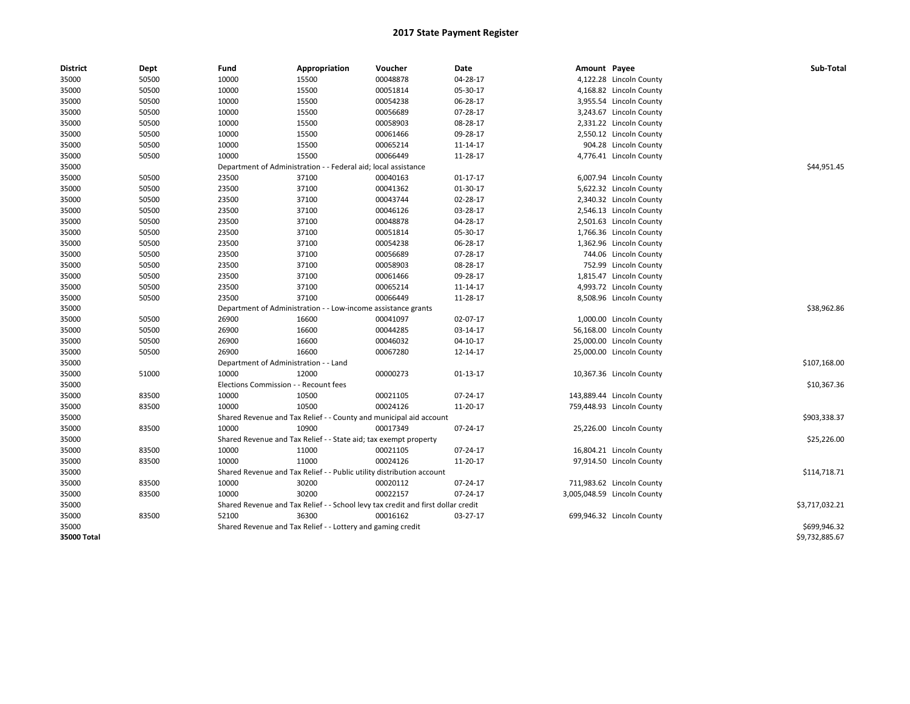| <b>District</b> | Dept  | Fund                                                           | Appropriation                                                         | Voucher                                                                          | Date           | Amount Payee |                             | Sub-Total      |
|-----------------|-------|----------------------------------------------------------------|-----------------------------------------------------------------------|----------------------------------------------------------------------------------|----------------|--------------|-----------------------------|----------------|
| 35000           | 50500 | 10000                                                          | 15500                                                                 | 00048878                                                                         | 04-28-17       |              | 4,122.28 Lincoln County     |                |
| 35000           | 50500 | 10000                                                          | 15500                                                                 | 00051814                                                                         | 05-30-17       |              | 4,168.82 Lincoln County     |                |
| 35000           | 50500 | 10000                                                          | 15500                                                                 | 00054238                                                                         | 06-28-17       |              | 3,955.54 Lincoln County     |                |
| 35000           | 50500 | 10000                                                          | 15500                                                                 | 00056689                                                                         | 07-28-17       |              | 3,243.67 Lincoln County     |                |
| 35000           | 50500 | 10000                                                          | 15500                                                                 | 00058903                                                                         | 08-28-17       |              | 2,331.22 Lincoln County     |                |
| 35000           | 50500 | 10000                                                          | 15500                                                                 | 00061466                                                                         | 09-28-17       |              | 2,550.12 Lincoln County     |                |
| 35000           | 50500 | 10000                                                          | 15500                                                                 | 00065214                                                                         | 11-14-17       |              | 904.28 Lincoln County       |                |
| 35000           | 50500 | 10000                                                          | 15500                                                                 | 00066449                                                                         | 11-28-17       |              | 4,776.41 Lincoln County     |                |
| 35000           |       | Department of Administration - - Federal aid; local assistance |                                                                       | \$44,951.45                                                                      |                |              |                             |                |
| 35000           | 50500 | 23500                                                          | 37100                                                                 | 00040163                                                                         | $01 - 17 - 17$ |              | 6,007.94 Lincoln County     |                |
| 35000           | 50500 | 23500                                                          | 37100                                                                 | 00041362                                                                         | 01-30-17       |              | 5,622.32 Lincoln County     |                |
| 35000           | 50500 | 23500                                                          | 37100                                                                 | 00043744                                                                         | 02-28-17       |              | 2,340.32 Lincoln County     |                |
| 35000           | 50500 | 23500                                                          | 37100                                                                 | 00046126                                                                         | 03-28-17       |              | 2,546.13 Lincoln County     |                |
| 35000           | 50500 | 23500                                                          | 37100                                                                 | 00048878                                                                         | 04-28-17       |              | 2,501.63 Lincoln County     |                |
| 35000           | 50500 | 23500                                                          | 37100                                                                 | 00051814                                                                         | 05-30-17       |              | 1,766.36 Lincoln County     |                |
| 35000           | 50500 | 23500                                                          | 37100                                                                 | 00054238                                                                         | 06-28-17       |              | 1,362.96 Lincoln County     |                |
| 35000           | 50500 | 23500                                                          | 37100                                                                 | 00056689                                                                         | 07-28-17       |              | 744.06 Lincoln County       |                |
| 35000           | 50500 | 23500                                                          | 37100                                                                 | 00058903                                                                         | 08-28-17       |              | 752.99 Lincoln County       |                |
| 35000           | 50500 | 23500                                                          | 37100                                                                 | 00061466                                                                         | 09-28-17       |              | 1,815.47 Lincoln County     |                |
| 35000           | 50500 | 23500                                                          | 37100                                                                 | 00065214                                                                         | 11-14-17       |              | 4,993.72 Lincoln County     |                |
| 35000           | 50500 | 23500                                                          | 37100                                                                 | 00066449                                                                         | 11-28-17       |              | 8,508.96 Lincoln County     |                |
| 35000           |       | Department of Administration - - Low-income assistance grants  |                                                                       | \$38,962.86                                                                      |                |              |                             |                |
| 35000           | 50500 | 26900                                                          | 16600                                                                 | 00041097                                                                         | 02-07-17       |              | 1,000.00 Lincoln County     |                |
| 35000           | 50500 | 26900                                                          | 16600                                                                 | 00044285                                                                         | 03-14-17       |              | 56,168.00 Lincoln County    |                |
| 35000           | 50500 | 26900                                                          | 16600                                                                 | 00046032                                                                         | 04-10-17       |              | 25,000.00 Lincoln County    |                |
| 35000           | 50500 | 26900                                                          | 16600                                                                 | 00067280                                                                         | 12-14-17       |              | 25,000.00 Lincoln County    |                |
| 35000           |       | Department of Administration - - Land                          |                                                                       |                                                                                  |                |              |                             | \$107,168.00   |
| 35000           | 51000 | 10000                                                          | 12000                                                                 | 00000273                                                                         | 01-13-17       |              | 10,367.36 Lincoln County    |                |
| 35000           |       | Elections Commission - - Recount fees                          |                                                                       |                                                                                  |                |              |                             | \$10,367.36    |
| 35000           | 83500 | 10000                                                          | 10500                                                                 | 00021105                                                                         | 07-24-17       |              | 143,889.44 Lincoln County   |                |
| 35000           | 83500 | 10000                                                          | 10500                                                                 | 00024126                                                                         | 11-20-17       |              | 759,448.93 Lincoln County   |                |
| 35000           |       |                                                                | Shared Revenue and Tax Relief - - County and municipal aid account    |                                                                                  |                |              |                             | \$903,338.37   |
| 35000           | 83500 | 10000                                                          | 10900                                                                 | 00017349                                                                         | 07-24-17       |              | 25,226.00 Lincoln County    |                |
| 35000           |       |                                                                | Shared Revenue and Tax Relief - - State aid; tax exempt property      |                                                                                  |                |              |                             | \$25,226.00    |
| 35000           | 83500 | 10000                                                          | 11000                                                                 | 00021105                                                                         | 07-24-17       |              | 16,804.21 Lincoln County    |                |
| 35000           | 83500 | 10000                                                          | 11000                                                                 | 00024126                                                                         | 11-20-17       |              | 97,914.50 Lincoln County    |                |
| 35000           |       |                                                                | Shared Revenue and Tax Relief - - Public utility distribution account |                                                                                  |                |              |                             | \$114,718.71   |
| 35000           | 83500 | 10000                                                          | 30200                                                                 | 00020112                                                                         | 07-24-17       |              | 711,983.62 Lincoln County   |                |
| 35000           | 83500 | 10000                                                          | 30200                                                                 | 00022157                                                                         | 07-24-17       |              | 3,005,048.59 Lincoln County |                |
| 35000           |       |                                                                |                                                                       | Shared Revenue and Tax Relief - - School levy tax credit and first dollar credit |                |              |                             | \$3,717,032.21 |
| 35000           | 83500 | 52100                                                          | 36300                                                                 | 00016162                                                                         | 03-27-17       |              | 699,946.32 Lincoln County   |                |
| 35000           |       |                                                                | Shared Revenue and Tax Relief - - Lottery and gaming credit           |                                                                                  |                |              |                             | \$699,946.32   |
| 35000 Total     |       |                                                                |                                                                       |                                                                                  |                |              |                             | \$9,732,885.67 |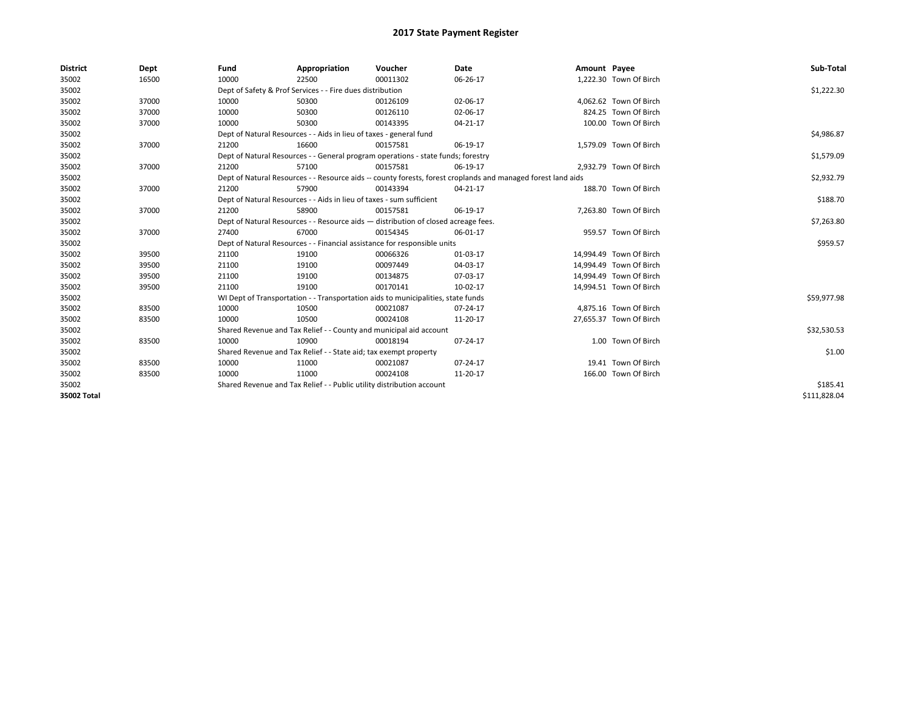| <b>District</b> | Dept  | Fund                                                                               | Appropriation                                                                                                | Voucher    | Date           | Amount Payee |                         | Sub-Total    |
|-----------------|-------|------------------------------------------------------------------------------------|--------------------------------------------------------------------------------------------------------------|------------|----------------|--------------|-------------------------|--------------|
| 35002           | 16500 | 10000                                                                              | 22500                                                                                                        | 00011302   | 06-26-17       |              | 1,222.30 Town Of Birch  |              |
| 35002           |       |                                                                                    | Dept of Safety & Prof Services - - Fire dues distribution                                                    |            |                |              |                         | \$1,222.30   |
| 35002           | 37000 | 10000                                                                              | 50300                                                                                                        | 00126109   | 02-06-17       |              | 4,062.62 Town Of Birch  |              |
| 35002           | 37000 | 10000                                                                              | 50300                                                                                                        | 00126110   | 02-06-17       |              | 824.25 Town Of Birch    |              |
| 35002           | 37000 | 10000                                                                              | 50300                                                                                                        | 00143395   | $04 - 21 - 17$ |              | 100.00 Town Of Birch    |              |
| 35002           |       |                                                                                    | Dept of Natural Resources - - Aids in lieu of taxes - general fund                                           |            |                |              |                         | \$4,986.87   |
| 35002           | 37000 | 21200                                                                              | 16600                                                                                                        | 00157581   | 06-19-17       |              | 1,579.09 Town Of Birch  |              |
| 35002           |       |                                                                                    | Dept of Natural Resources - - General program operations - state funds; forestry                             |            |                |              |                         | \$1,579.09   |
| 35002           | 37000 | 21200                                                                              | 57100                                                                                                        | 00157581   | 06-19-17       |              | 2,932.79 Town Of Birch  |              |
| 35002           |       |                                                                                    | Dept of Natural Resources - - Resource aids -- county forests, forest croplands and managed forest land aids |            | \$2,932.79     |              |                         |              |
| 35002           | 37000 | 21200                                                                              | 57900                                                                                                        | 00143394   | 04-21-17       |              | 188.70 Town Of Birch    |              |
| 35002           |       | Dept of Natural Resources - - Aids in lieu of taxes - sum sufficient               |                                                                                                              | \$188.70   |                |              |                         |              |
| 35002           | 37000 | 21200                                                                              | 58900                                                                                                        | 00157581   | 06-19-17       |              | 7,263.80 Town Of Birch  |              |
| 35002           |       | Dept of Natural Resources - - Resource aids - distribution of closed acreage fees. |                                                                                                              | \$7,263.80 |                |              |                         |              |
| 35002           | 37000 | 27400                                                                              | 67000                                                                                                        | 00154345   | 06-01-17       |              | 959.57 Town Of Birch    |              |
| 35002           |       |                                                                                    | Dept of Natural Resources - - Financial assistance for responsible units                                     |            |                |              |                         | \$959.57     |
| 35002           | 39500 | 21100                                                                              | 19100                                                                                                        | 00066326   | 01-03-17       |              | 14.994.49 Town Of Birch |              |
| 35002           | 39500 | 21100                                                                              | 19100                                                                                                        | 00097449   | 04-03-17       |              | 14,994.49 Town Of Birch |              |
| 35002           | 39500 | 21100                                                                              | 19100                                                                                                        | 00134875   | 07-03-17       |              | 14,994.49 Town Of Birch |              |
| 35002           | 39500 | 21100                                                                              | 19100                                                                                                        | 00170141   | 10-02-17       |              | 14,994.51 Town Of Birch |              |
| 35002           |       |                                                                                    | WI Dept of Transportation - - Transportation aids to municipalities, state funds                             |            |                |              |                         | \$59,977.98  |
| 35002           | 83500 | 10000                                                                              | 10500                                                                                                        | 00021087   | $07 - 24 - 17$ |              | 4,875.16 Town Of Birch  |              |
| 35002           | 83500 | 10000                                                                              | 10500                                                                                                        | 00024108   | 11-20-17       |              | 27,655.37 Town Of Birch |              |
| 35002           |       |                                                                                    | Shared Revenue and Tax Relief - - County and municipal aid account                                           |            |                |              |                         | \$32,530.53  |
| 35002           | 83500 | 10000                                                                              | 10900                                                                                                        | 00018194   | 07-24-17       |              | 1.00 Town Of Birch      |              |
| 35002           |       | Shared Revenue and Tax Relief - - State aid; tax exempt property                   |                                                                                                              | \$1.00     |                |              |                         |              |
| 35002           | 83500 | 10000                                                                              | 11000                                                                                                        | 00021087   | $07 - 24 - 17$ |              | 19.41 Town Of Birch     |              |
| 35002           | 83500 | 10000                                                                              | 11000                                                                                                        | 00024108   | 11-20-17       |              | 166.00 Town Of Birch    |              |
| 35002           |       | Shared Revenue and Tax Relief - - Public utility distribution account              |                                                                                                              | \$185.41   |                |              |                         |              |
| 35002 Total     |       |                                                                                    |                                                                                                              |            |                |              |                         | \$111,828.04 |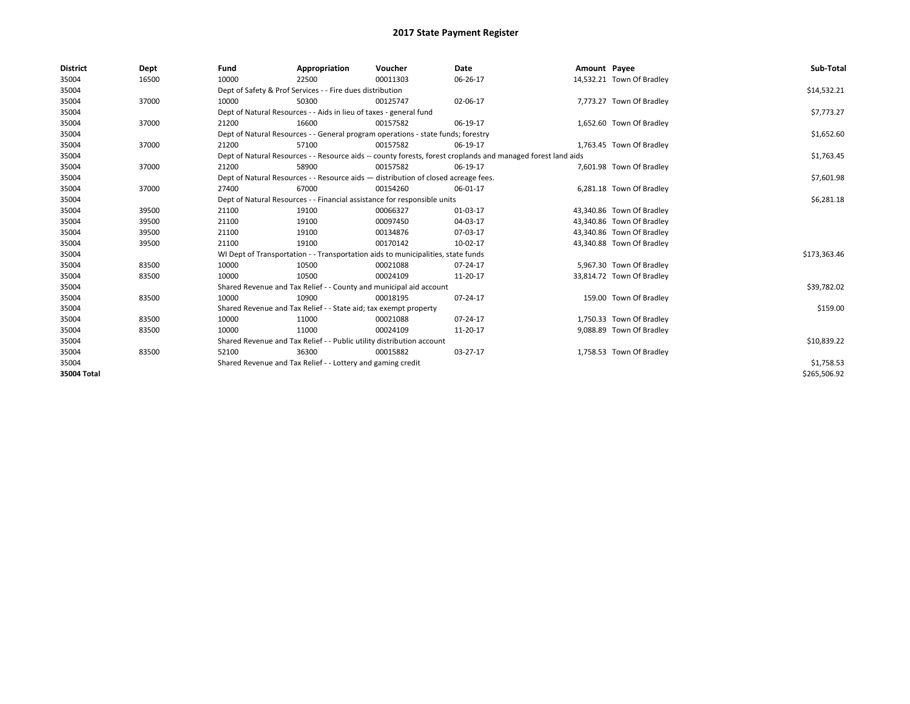| <b>District</b> | Dept  | Fund  | Appropriation                                                                                                | Voucher  | Date       | Amount Payee |                           | Sub-Total    |
|-----------------|-------|-------|--------------------------------------------------------------------------------------------------------------|----------|------------|--------------|---------------------------|--------------|
| 35004           | 16500 | 10000 | 22500                                                                                                        | 00011303 | 06-26-17   |              | 14,532.21 Town Of Bradley |              |
| 35004           |       |       | Dept of Safety & Prof Services - - Fire dues distribution                                                    |          |            |              |                           | \$14,532.21  |
| 35004           | 37000 | 10000 | 50300                                                                                                        | 00125747 | 02-06-17   |              | 7,773.27 Town Of Bradley  |              |
| 35004           |       |       | Dept of Natural Resources - - Aids in lieu of taxes - general fund                                           |          |            |              |                           | \$7,773.27   |
| 35004           | 37000 | 21200 | 16600                                                                                                        | 00157582 | 06-19-17   |              | 1,652.60 Town Of Bradley  |              |
| 35004           |       |       | Dept of Natural Resources - - General program operations - state funds; forestry                             |          |            |              |                           | \$1,652.60   |
| 35004           | 37000 | 21200 | 57100                                                                                                        | 00157582 | 06-19-17   |              | 1,763.45 Town Of Bradley  |              |
| 35004           |       |       | Dept of Natural Resources - - Resource aids -- county forests, forest croplands and managed forest land aids |          | \$1,763.45 |              |                           |              |
| 35004           | 37000 | 21200 | 58900                                                                                                        | 00157582 | 06-19-17   |              | 7,601.98 Town Of Bradley  |              |
| 35004           |       |       | Dept of Natural Resources - - Resource aids - distribution of closed acreage fees.                           |          | \$7,601.98 |              |                           |              |
| 35004           | 37000 | 27400 | 67000                                                                                                        | 00154260 | 06-01-17   |              | 6,281.18 Town Of Bradley  |              |
| 35004           |       |       | Dept of Natural Resources - - Financial assistance for responsible units                                     |          | \$6,281.18 |              |                           |              |
| 35004           | 39500 | 21100 | 19100                                                                                                        | 00066327 | 01-03-17   |              | 43,340.86 Town Of Bradley |              |
| 35004           | 39500 | 21100 | 19100                                                                                                        | 00097450 | 04-03-17   |              | 43,340.86 Town Of Bradley |              |
| 35004           | 39500 | 21100 | 19100                                                                                                        | 00134876 | 07-03-17   |              | 43,340.86 Town Of Bradley |              |
| 35004           | 39500 | 21100 | 19100                                                                                                        | 00170142 | 10-02-17   |              | 43,340.88 Town Of Bradley |              |
| 35004           |       |       | WI Dept of Transportation - - Transportation aids to municipalities, state funds                             |          |            |              |                           | \$173,363.46 |
| 35004           | 83500 | 10000 | 10500                                                                                                        | 00021088 | 07-24-17   |              | 5,967.30 Town Of Bradley  |              |
| 35004           | 83500 | 10000 | 10500                                                                                                        | 00024109 | 11-20-17   |              | 33,814.72 Town Of Bradley |              |
| 35004           |       |       | Shared Revenue and Tax Relief - - County and municipal aid account                                           |          |            |              |                           | \$39,782.02  |
| 35004           | 83500 | 10000 | 10900                                                                                                        | 00018195 | 07-24-17   |              | 159.00 Town Of Bradley    |              |
| 35004           |       |       | Shared Revenue and Tax Relief - - State aid; tax exempt property                                             |          |            |              |                           | \$159.00     |
| 35004           | 83500 | 10000 | 11000                                                                                                        | 00021088 | 07-24-17   |              | 1,750.33 Town Of Bradley  |              |
| 35004           | 83500 | 10000 | 11000                                                                                                        | 00024109 | 11-20-17   |              | 9,088.89 Town Of Bradley  |              |
| 35004           |       |       | Shared Revenue and Tax Relief - - Public utility distribution account                                        |          |            |              |                           | \$10,839.22  |
| 35004           | 83500 | 52100 | 36300                                                                                                        | 00015882 | 03-27-17   |              | 1,758.53 Town Of Bradley  |              |
| 35004           |       |       | Shared Revenue and Tax Relief - - Lottery and gaming credit                                                  |          |            |              |                           | \$1,758.53   |
| 35004 Total     |       |       |                                                                                                              |          |            |              |                           | \$265,506.92 |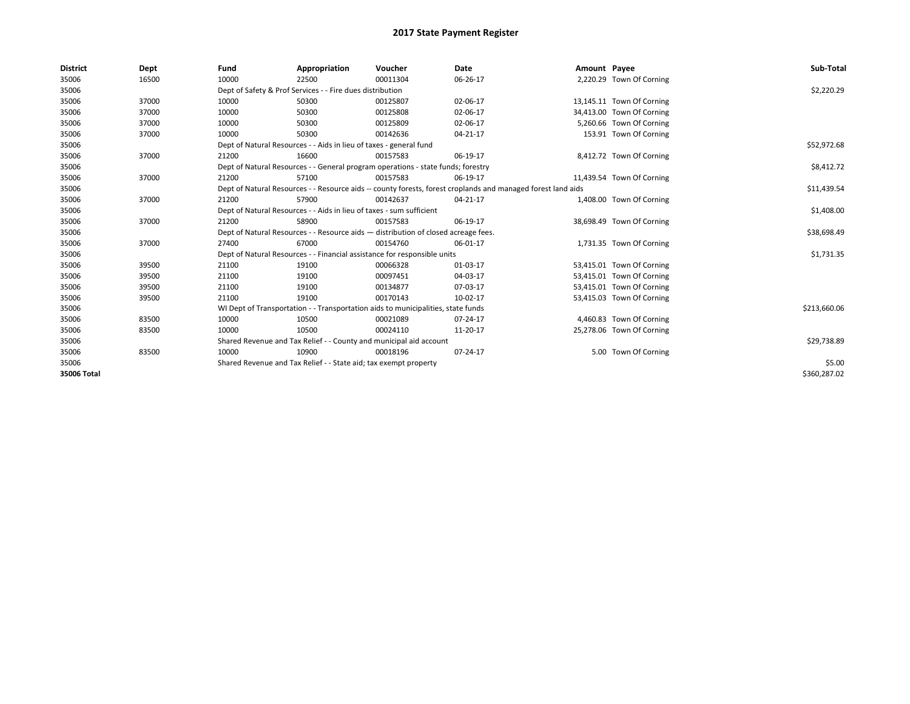| <b>District</b> | Dept  | Fund  | Appropriation                                                                                                | Voucher  | Date           | Amount Payee |                           | Sub-Total    |
|-----------------|-------|-------|--------------------------------------------------------------------------------------------------------------|----------|----------------|--------------|---------------------------|--------------|
| 35006           | 16500 | 10000 | 22500                                                                                                        | 00011304 | 06-26-17       |              | 2,220.29 Town Of Corning  |              |
| 35006           |       |       | Dept of Safety & Prof Services - - Fire dues distribution                                                    |          |                |              |                           | \$2,220.29   |
| 35006           | 37000 | 10000 | 50300                                                                                                        | 00125807 | 02-06-17       |              | 13,145.11 Town Of Corning |              |
| 35006           | 37000 | 10000 | 50300                                                                                                        | 00125808 | 02-06-17       |              | 34,413.00 Town Of Corning |              |
| 35006           | 37000 | 10000 | 50300                                                                                                        | 00125809 | 02-06-17       |              | 5,260.66 Town Of Corning  |              |
| 35006           | 37000 | 10000 | 50300                                                                                                        | 00142636 | $04 - 21 - 17$ |              | 153.91 Town Of Corning    |              |
| 35006           |       |       | Dept of Natural Resources - - Aids in lieu of taxes - general fund                                           |          |                |              |                           | \$52,972.68  |
| 35006           | 37000 | 21200 | 16600                                                                                                        | 00157583 | 06-19-17       |              | 8,412.72 Town Of Corning  |              |
| 35006           |       |       | Dept of Natural Resources - - General program operations - state funds; forestry                             |          | \$8,412.72     |              |                           |              |
| 35006           | 37000 | 21200 | 57100                                                                                                        | 00157583 | 06-19-17       |              | 11,439.54 Town Of Corning |              |
| 35006           |       |       | Dept of Natural Resources - - Resource aids -- county forests, forest croplands and managed forest land aids |          | \$11,439.54    |              |                           |              |
| 35006           | 37000 | 21200 | 57900                                                                                                        | 00142637 | $04 - 21 - 17$ |              | 1,408.00 Town Of Corning  |              |
| 35006           |       |       | Dept of Natural Resources - - Aids in lieu of taxes - sum sufficient                                         |          | \$1,408.00     |              |                           |              |
| 35006           | 37000 | 21200 | 58900                                                                                                        | 00157583 | 06-19-17       |              | 38,698.49 Town Of Corning |              |
| 35006           |       |       | Dept of Natural Resources - - Resource aids - distribution of closed acreage fees.                           |          |                |              |                           | \$38,698.49  |
| 35006           | 37000 | 27400 | 67000                                                                                                        | 00154760 | 06-01-17       |              | 1,731.35 Town Of Corning  |              |
| 35006           |       |       | Dept of Natural Resources - - Financial assistance for responsible units                                     |          |                |              |                           | \$1,731.35   |
| 35006           | 39500 | 21100 | 19100                                                                                                        | 00066328 | 01-03-17       |              | 53,415.01 Town Of Corning |              |
| 35006           | 39500 | 21100 | 19100                                                                                                        | 00097451 | 04-03-17       |              | 53,415.01 Town Of Corning |              |
| 35006           | 39500 | 21100 | 19100                                                                                                        | 00134877 | 07-03-17       |              | 53,415.01 Town Of Corning |              |
| 35006           | 39500 | 21100 | 19100                                                                                                        | 00170143 | 10-02-17       |              | 53,415.03 Town Of Corning |              |
| 35006           |       |       | WI Dept of Transportation - - Transportation aids to municipalities, state funds                             |          |                |              |                           | \$213,660.06 |
| 35006           | 83500 | 10000 | 10500                                                                                                        | 00021089 | 07-24-17       |              | 4,460.83 Town Of Corning  |              |
| 35006           | 83500 | 10000 | 10500                                                                                                        | 00024110 | 11-20-17       |              | 25,278.06 Town Of Corning |              |
| 35006           |       |       | Shared Revenue and Tax Relief - - County and municipal aid account                                           |          |                |              |                           | \$29,738.89  |
| 35006           | 83500 | 10000 | 10900                                                                                                        | 00018196 | 07-24-17       |              | 5.00 Town Of Corning      |              |
| 35006           |       |       | Shared Revenue and Tax Relief - - State aid; tax exempt property                                             |          |                |              |                           | \$5.00       |
| 35006 Total     |       |       |                                                                                                              |          |                |              |                           | \$360.287.02 |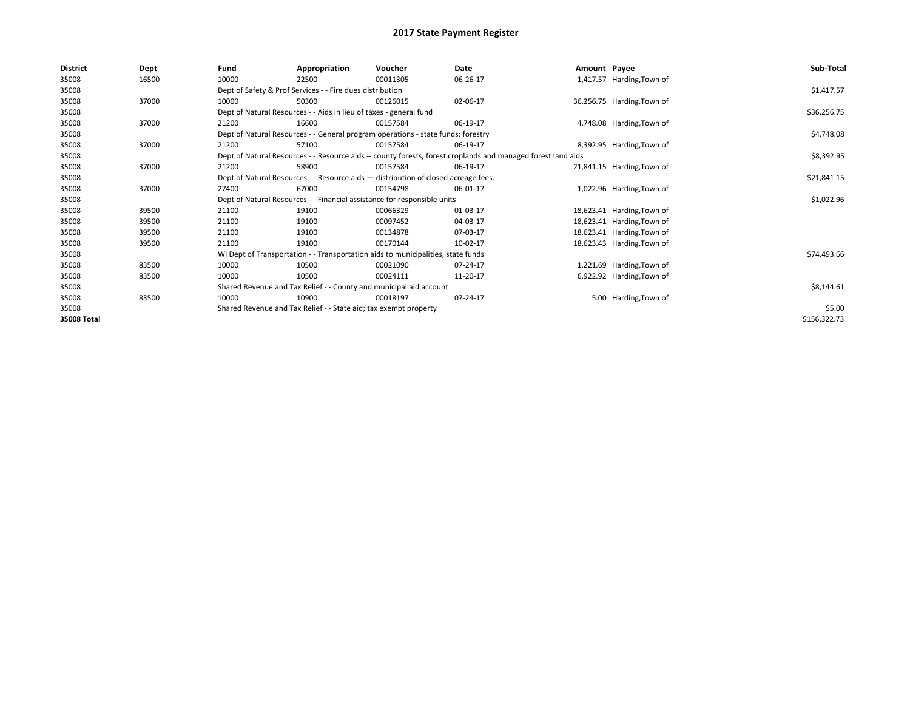| District    | Dept  | Fund                                                             | Appropriation                                                                                                | Voucher  | Date       | Amount Payee |                            | Sub-Total    |  |  |
|-------------|-------|------------------------------------------------------------------|--------------------------------------------------------------------------------------------------------------|----------|------------|--------------|----------------------------|--------------|--|--|
| 35008       | 16500 | 10000                                                            | 22500                                                                                                        | 00011305 | 06-26-17   |              | 1,417.57 Harding, Town of  |              |  |  |
| 35008       |       |                                                                  | Dept of Safety & Prof Services - - Fire dues distribution                                                    |          |            |              |                            | \$1,417.57   |  |  |
| 35008       | 37000 | 10000                                                            | 50300                                                                                                        | 00126015 | 02-06-17   |              | 36,256.75 Harding, Town of |              |  |  |
| 35008       |       |                                                                  | Dept of Natural Resources - - Aids in lieu of taxes - general fund                                           |          |            |              |                            | \$36,256.75  |  |  |
| 35008       | 37000 | 21200                                                            | 16600                                                                                                        | 00157584 | 06-19-17   |              | 4,748.08 Harding, Town of  |              |  |  |
| 35008       |       |                                                                  | Dept of Natural Resources - - General program operations - state funds; forestry                             |          |            |              |                            | \$4,748.08   |  |  |
| 35008       | 37000 | 21200                                                            | 57100                                                                                                        | 00157584 | 06-19-17   |              | 8,392.95 Harding, Town of  |              |  |  |
| 35008       |       |                                                                  | Dept of Natural Resources - - Resource aids -- county forests, forest croplands and managed forest land aids |          | \$8,392.95 |              |                            |              |  |  |
| 35008       | 37000 | 21200                                                            | 58900                                                                                                        | 00157584 | 06-19-17   |              | 21,841.15 Harding, Town of |              |  |  |
| 35008       |       |                                                                  | Dept of Natural Resources - - Resource aids - distribution of closed acreage fees.                           |          |            |              |                            |              |  |  |
| 35008       | 37000 | 27400                                                            | 67000                                                                                                        | 00154798 | 06-01-17   |              | 1,022.96 Harding, Town of  |              |  |  |
| 35008       |       |                                                                  | Dept of Natural Resources - - Financial assistance for responsible units                                     |          |            |              |                            | \$1,022.96   |  |  |
| 35008       | 39500 | 21100                                                            | 19100                                                                                                        | 00066329 | 01-03-17   |              | 18,623.41 Harding, Town of |              |  |  |
| 35008       | 39500 | 21100                                                            | 19100                                                                                                        | 00097452 | 04-03-17   |              | 18,623.41 Harding, Town of |              |  |  |
| 35008       | 39500 | 21100                                                            | 19100                                                                                                        | 00134878 | 07-03-17   |              | 18,623.41 Harding, Town of |              |  |  |
| 35008       | 39500 | 21100                                                            | 19100                                                                                                        | 00170144 | 10-02-17   |              | 18,623.43 Harding, Town of |              |  |  |
| 35008       |       |                                                                  | WI Dept of Transportation - - Transportation aids to municipalities, state funds                             |          |            |              |                            | \$74,493.66  |  |  |
| 35008       | 83500 | 10000                                                            | 10500                                                                                                        | 00021090 | 07-24-17   |              | 1,221.69 Harding, Town of  |              |  |  |
| 35008       | 83500 | 10000                                                            | 10500                                                                                                        | 00024111 | 11-20-17   |              | 6,922.92 Harding, Town of  |              |  |  |
| 35008       |       |                                                                  | Shared Revenue and Tax Relief - - County and municipal aid account                                           |          |            |              |                            | \$8,144.61   |  |  |
| 35008       | 83500 | 10000                                                            | 10900                                                                                                        | 00018197 | 07-24-17   |              | 5.00 Harding, Town of      |              |  |  |
| 35008       |       | Shared Revenue and Tax Relief - - State aid; tax exempt property |                                                                                                              | \$5.00   |            |              |                            |              |  |  |
| 35008 Total |       |                                                                  |                                                                                                              |          |            |              |                            | \$156,322.73 |  |  |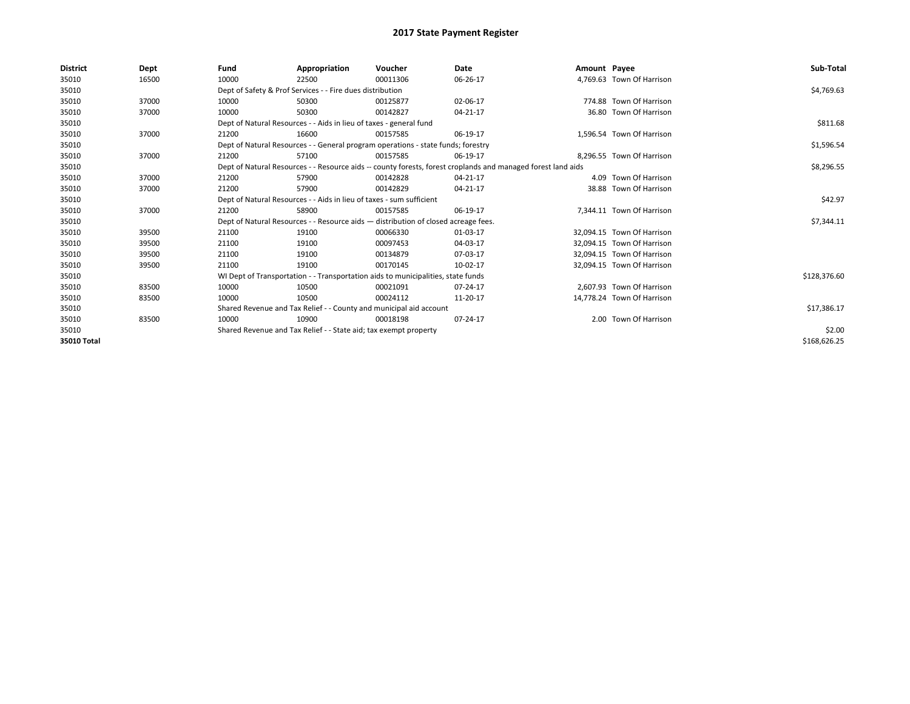| <b>District</b> | Dept  | Fund  | Appropriation                                                                                                | Voucher  | Date           | Amount Payee |                            | Sub-Total    |  |  |
|-----------------|-------|-------|--------------------------------------------------------------------------------------------------------------|----------|----------------|--------------|----------------------------|--------------|--|--|
| 35010           | 16500 | 10000 | 22500                                                                                                        | 00011306 | 06-26-17       |              | 4,769.63 Town Of Harrison  |              |  |  |
| 35010           |       |       | Dept of Safety & Prof Services - - Fire dues distribution                                                    |          |                |              |                            | \$4,769.63   |  |  |
| 35010           | 37000 | 10000 | 50300                                                                                                        | 00125877 | 02-06-17       |              | 774.88 Town Of Harrison    |              |  |  |
| 35010           | 37000 | 10000 | 50300                                                                                                        | 00142827 | 04-21-17       |              | 36.80 Town Of Harrison     |              |  |  |
| 35010           |       |       | Dept of Natural Resources - - Aids in lieu of taxes - general fund                                           |          |                |              |                            | \$811.68     |  |  |
| 35010           | 37000 | 21200 | 16600                                                                                                        | 00157585 | 06-19-17       |              | 1,596.54 Town Of Harrison  |              |  |  |
| 35010           |       |       | Dept of Natural Resources - - General program operations - state funds; forestry                             |          |                |              |                            | \$1,596.54   |  |  |
| 35010           | 37000 | 21200 | 57100                                                                                                        | 00157585 | 06-19-17       |              | 8,296.55 Town Of Harrison  |              |  |  |
| 35010           |       |       | Dept of Natural Resources - - Resource aids -- county forests, forest croplands and managed forest land aids |          | \$8,296.55     |              |                            |              |  |  |
| 35010           | 37000 | 21200 | 57900                                                                                                        | 00142828 | 04-21-17       |              | 4.09 Town Of Harrison      |              |  |  |
| 35010           | 37000 | 21200 | 57900                                                                                                        | 00142829 | 04-21-17       |              | 38.88 Town Of Harrison     |              |  |  |
| 35010           |       |       | Dept of Natural Resources - - Aids in lieu of taxes - sum sufficient                                         |          |                |              |                            |              |  |  |
| 35010           | 37000 | 21200 | 58900                                                                                                        | 00157585 | 06-19-17       |              | 7,344.11 Town Of Harrison  |              |  |  |
| 35010           |       |       | Dept of Natural Resources - - Resource aids - distribution of closed acreage fees.                           |          |                |              |                            | \$7,344.11   |  |  |
| 35010           | 39500 | 21100 | 19100                                                                                                        | 00066330 | 01-03-17       |              | 32.094.15 Town Of Harrison |              |  |  |
| 35010           | 39500 | 21100 | 19100                                                                                                        | 00097453 | 04-03-17       |              | 32.094.15 Town Of Harrison |              |  |  |
| 35010           | 39500 | 21100 | 19100                                                                                                        | 00134879 | 07-03-17       |              | 32,094.15 Town Of Harrison |              |  |  |
| 35010           | 39500 | 21100 | 19100                                                                                                        | 00170145 | 10-02-17       |              | 32.094.15 Town Of Harrison |              |  |  |
| 35010           |       |       | WI Dept of Transportation - - Transportation aids to municipalities, state funds                             |          |                |              |                            | \$128,376.60 |  |  |
| 35010           | 83500 | 10000 | 10500                                                                                                        | 00021091 | $07 - 24 - 17$ |              | 2,607.93 Town Of Harrison  |              |  |  |
| 35010           | 83500 | 10000 | 10500                                                                                                        | 00024112 | 11-20-17       |              | 14.778.24 Town Of Harrison |              |  |  |
| 35010           |       |       | Shared Revenue and Tax Relief - - County and municipal aid account                                           |          |                |              |                            |              |  |  |
| 35010           | 83500 | 10000 | 10900                                                                                                        | 00018198 | 07-24-17       |              | 2.00 Town Of Harrison      |              |  |  |
| 35010           |       |       | Shared Revenue and Tax Relief - - State aid; tax exempt property                                             |          |                |              |                            |              |  |  |
| 35010 Total     |       |       |                                                                                                              |          |                |              |                            | \$168,626.25 |  |  |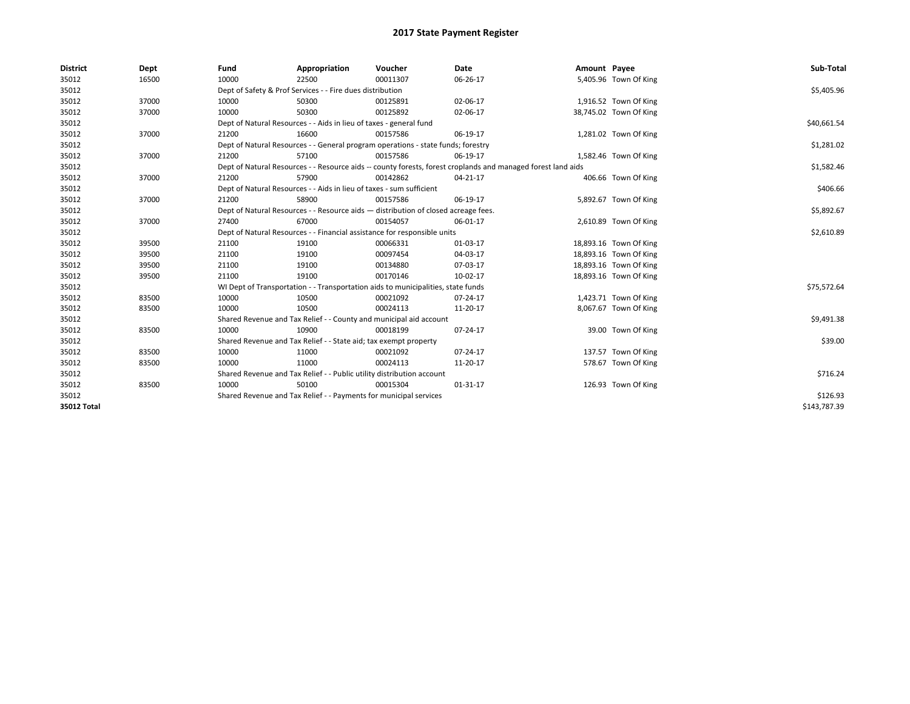| <b>District</b>    | Dept  | Fund                                                                                                         | Appropriation                                                                    | Voucher    | Date           | Amount Payee |                        | Sub-Total    |
|--------------------|-------|--------------------------------------------------------------------------------------------------------------|----------------------------------------------------------------------------------|------------|----------------|--------------|------------------------|--------------|
| 35012              | 16500 | 10000                                                                                                        | 22500                                                                            | 00011307   | 06-26-17       |              | 5,405.96 Town Of King  |              |
| 35012              |       |                                                                                                              | Dept of Safety & Prof Services - - Fire dues distribution                        |            |                |              |                        | \$5,405.96   |
| 35012              | 37000 | 10000                                                                                                        | 50300                                                                            | 00125891   | 02-06-17       |              | 1,916.52 Town Of King  |              |
| 35012              | 37000 | 10000                                                                                                        | 50300                                                                            | 00125892   | 02-06-17       |              | 38,745.02 Town Of King |              |
| 35012              |       |                                                                                                              | Dept of Natural Resources - - Aids in lieu of taxes - general fund               |            |                |              |                        | \$40,661.54  |
| 35012              | 37000 | 21200                                                                                                        | 16600                                                                            | 00157586   | 06-19-17       |              | 1,281.02 Town Of King  |              |
| 35012              |       |                                                                                                              | Dept of Natural Resources - - General program operations - state funds; forestry |            |                |              |                        | \$1,281.02   |
| 35012              | 37000 | 21200                                                                                                        | 57100                                                                            | 00157586   | 06-19-17       |              | 1,582.46 Town Of King  |              |
| 35012              |       | Dept of Natural Resources - - Resource aids -- county forests, forest croplands and managed forest land aids |                                                                                  | \$1,582.46 |                |              |                        |              |
| 35012              | 37000 | 21200                                                                                                        | 57900                                                                            | 00142862   | 04-21-17       |              | 406.66 Town Of King    |              |
| 35012              |       |                                                                                                              | Dept of Natural Resources - - Aids in lieu of taxes - sum sufficient             |            |                |              |                        | \$406.66     |
| 35012              | 37000 | 21200                                                                                                        | 58900                                                                            | 00157586   | 06-19-17       |              | 5,892.67 Town Of King  |              |
| 35012              |       | Dept of Natural Resources - - Resource aids - distribution of closed acreage fees.                           |                                                                                  | \$5,892.67 |                |              |                        |              |
| 35012              | 37000 | 27400                                                                                                        | 67000                                                                            | 00154057   | 06-01-17       |              | 2,610.89 Town Of King  |              |
| 35012              |       | Dept of Natural Resources - - Financial assistance for responsible units                                     |                                                                                  | \$2,610.89 |                |              |                        |              |
| 35012              | 39500 | 21100                                                                                                        | 19100                                                                            | 00066331   | 01-03-17       |              | 18,893.16 Town Of King |              |
| 35012              | 39500 | 21100                                                                                                        | 19100                                                                            | 00097454   | 04-03-17       |              | 18,893.16 Town Of King |              |
| 35012              | 39500 | 21100                                                                                                        | 19100                                                                            | 00134880   | 07-03-17       |              | 18,893.16 Town Of King |              |
| 35012              | 39500 | 21100                                                                                                        | 19100                                                                            | 00170146   | 10-02-17       |              | 18,893.16 Town Of King |              |
| 35012              |       |                                                                                                              | WI Dept of Transportation - - Transportation aids to municipalities, state funds |            |                |              |                        | \$75,572.64  |
| 35012              | 83500 | 10000                                                                                                        | 10500                                                                            | 00021092   | $07 - 24 - 17$ |              | 1,423.71 Town Of King  |              |
| 35012              | 83500 | 10000                                                                                                        | 10500                                                                            | 00024113   | 11-20-17       |              | 8,067.67 Town Of King  |              |
| 35012              |       |                                                                                                              | Shared Revenue and Tax Relief - - County and municipal aid account               |            |                |              |                        | \$9,491.38   |
| 35012              | 83500 | 10000                                                                                                        | 10900                                                                            | 00018199   | 07-24-17       |              | 39.00 Town Of King     |              |
| 35012              |       |                                                                                                              | Shared Revenue and Tax Relief - - State aid; tax exempt property                 |            |                |              |                        | \$39.00      |
| 35012              | 83500 | 10000                                                                                                        | 11000                                                                            | 00021092   | 07-24-17       |              | 137.57 Town Of King    |              |
| 35012              | 83500 | 10000                                                                                                        | 11000                                                                            | 00024113   | 11-20-17       |              | 578.67 Town Of King    |              |
| 35012              |       |                                                                                                              | Shared Revenue and Tax Relief - - Public utility distribution account            |            |                |              |                        | \$716.24     |
| 35012              | 83500 | 10000                                                                                                        | 50100                                                                            | 00015304   | 01-31-17       |              | 126.93 Town Of King    |              |
| 35012              |       | Shared Revenue and Tax Relief - - Payments for municipal services                                            |                                                                                  | \$126.93   |                |              |                        |              |
| <b>35012 Total</b> |       |                                                                                                              |                                                                                  |            |                |              |                        | \$143.787.39 |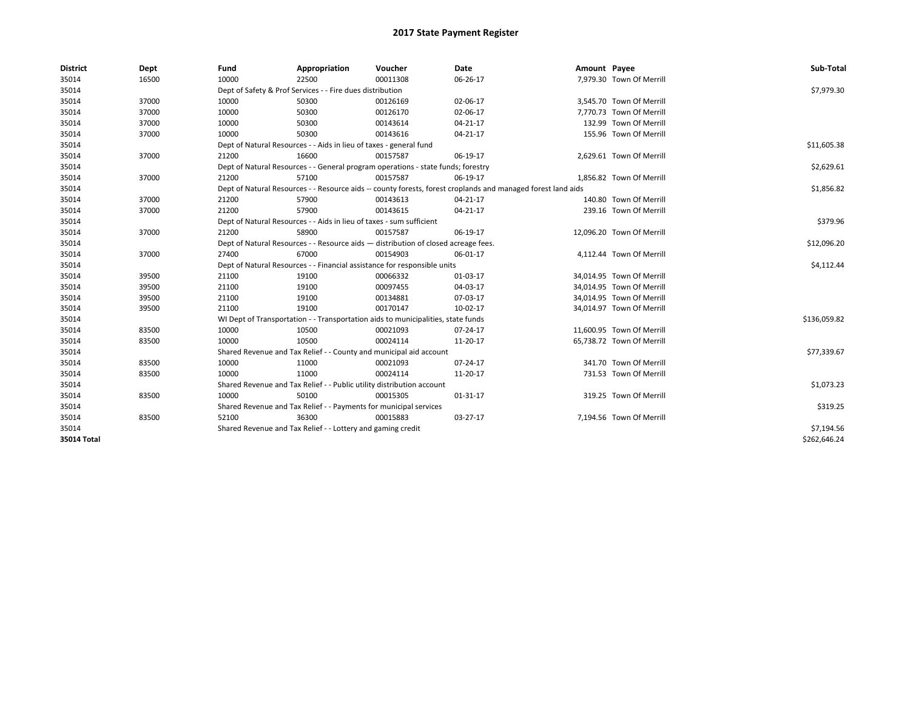| <b>District</b> | Dept  | Fund  | Appropriation                                                                      | Voucher  | Date                                                                                                         | Amount Payee |                           | Sub-Total    |  |  |
|-----------------|-------|-------|------------------------------------------------------------------------------------|----------|--------------------------------------------------------------------------------------------------------------|--------------|---------------------------|--------------|--|--|
| 35014           | 16500 | 10000 | 22500                                                                              | 00011308 | 06-26-17                                                                                                     |              | 7,979.30 Town Of Merrill  |              |  |  |
| 35014           |       |       | Dept of Safety & Prof Services - - Fire dues distribution                          |          |                                                                                                              |              |                           | \$7,979.30   |  |  |
| 35014           | 37000 | 10000 | 50300                                                                              | 00126169 | 02-06-17                                                                                                     |              | 3,545.70 Town Of Merrill  |              |  |  |
| 35014           | 37000 | 10000 | 50300                                                                              | 00126170 | 02-06-17                                                                                                     |              | 7.770.73 Town Of Merrill  |              |  |  |
| 35014           | 37000 | 10000 | 50300                                                                              | 00143614 | 04-21-17                                                                                                     |              | 132.99 Town Of Merrill    |              |  |  |
| 35014           | 37000 | 10000 | 50300                                                                              | 00143616 | 04-21-17                                                                                                     |              | 155.96 Town Of Merrill    |              |  |  |
| 35014           |       |       | Dept of Natural Resources - - Aids in lieu of taxes - general fund                 |          |                                                                                                              |              |                           | \$11,605.38  |  |  |
| 35014           | 37000 | 21200 | 16600                                                                              | 00157587 | 06-19-17                                                                                                     |              | 2,629.61 Town Of Merrill  |              |  |  |
| 35014           |       |       | Dept of Natural Resources - - General program operations - state funds; forestry   |          |                                                                                                              |              |                           | \$2,629.61   |  |  |
| 35014           | 37000 | 21200 | 57100                                                                              | 00157587 | 06-19-17                                                                                                     |              | 1,856.82 Town Of Merrill  |              |  |  |
| 35014           |       |       |                                                                                    |          | Dept of Natural Resources - - Resource aids -- county forests, forest croplands and managed forest land aids |              |                           | \$1,856.82   |  |  |
| 35014           | 37000 | 21200 | 57900                                                                              | 00143613 | 04-21-17                                                                                                     |              | 140.80 Town Of Merrill    |              |  |  |
| 35014           | 37000 | 21200 | 57900                                                                              | 00143615 | 04-21-17                                                                                                     |              | 239.16 Town Of Merrill    |              |  |  |
| 35014           |       |       | Dept of Natural Resources - - Aids in lieu of taxes - sum sufficient               |          |                                                                                                              |              |                           |              |  |  |
| 35014           | 37000 | 21200 | 58900                                                                              | 00157587 | 06-19-17                                                                                                     |              | 12,096.20 Town Of Merrill |              |  |  |
| 35014           |       |       | Dept of Natural Resources - - Resource aids - distribution of closed acreage fees. |          |                                                                                                              |              |                           | \$12,096.20  |  |  |
| 35014           | 37000 | 27400 | 67000                                                                              | 00154903 | 06-01-17                                                                                                     |              | 4,112.44 Town Of Merrill  |              |  |  |
| 35014           |       |       | Dept of Natural Resources - - Financial assistance for responsible units           |          |                                                                                                              |              |                           | \$4,112.44   |  |  |
| 35014           | 39500 | 21100 | 19100                                                                              | 00066332 | 01-03-17                                                                                                     |              | 34,014.95 Town Of Merrill |              |  |  |
| 35014           | 39500 | 21100 | 19100                                                                              | 00097455 | 04-03-17                                                                                                     |              | 34,014.95 Town Of Merrill |              |  |  |
| 35014           | 39500 | 21100 | 19100                                                                              | 00134881 | 07-03-17                                                                                                     |              | 34,014.95 Town Of Merrill |              |  |  |
| 35014           | 39500 | 21100 | 19100                                                                              | 00170147 | 10-02-17                                                                                                     |              | 34,014.97 Town Of Merrill |              |  |  |
| 35014           |       |       | WI Dept of Transportation - - Transportation aids to municipalities, state funds   |          |                                                                                                              |              |                           | \$136,059.82 |  |  |
| 35014           | 83500 | 10000 | 10500                                                                              | 00021093 | 07-24-17                                                                                                     |              | 11,600.95 Town Of Merrill |              |  |  |
| 35014           | 83500 | 10000 | 10500                                                                              | 00024114 | 11-20-17                                                                                                     |              | 65,738.72 Town Of Merrill |              |  |  |
| 35014           |       |       | Shared Revenue and Tax Relief - - County and municipal aid account                 |          |                                                                                                              |              |                           | \$77,339.67  |  |  |
| 35014           | 83500 | 10000 | 11000                                                                              | 00021093 | 07-24-17                                                                                                     |              | 341.70 Town Of Merrill    |              |  |  |
| 35014           | 83500 | 10000 | 11000                                                                              | 00024114 | 11-20-17                                                                                                     |              | 731.53 Town Of Merrill    |              |  |  |
| 35014           |       |       | Shared Revenue and Tax Relief - - Public utility distribution account              |          |                                                                                                              |              |                           | \$1,073.23   |  |  |
| 35014           | 83500 | 10000 | 50100                                                                              | 00015305 | 01-31-17                                                                                                     |              | 319.25 Town Of Merrill    |              |  |  |
| 35014           |       |       | Shared Revenue and Tax Relief - - Payments for municipal services                  |          |                                                                                                              |              |                           | \$319.25     |  |  |
| 35014           | 83500 | 52100 | 36300                                                                              | 00015883 | 03-27-17                                                                                                     |              | 7,194.56 Town Of Merrill  |              |  |  |
| 35014           |       |       | Shared Revenue and Tax Relief - - Lottery and gaming credit                        |          |                                                                                                              |              |                           | \$7,194.56   |  |  |
| 35014 Total     |       |       |                                                                                    |          |                                                                                                              |              |                           | \$262,646.24 |  |  |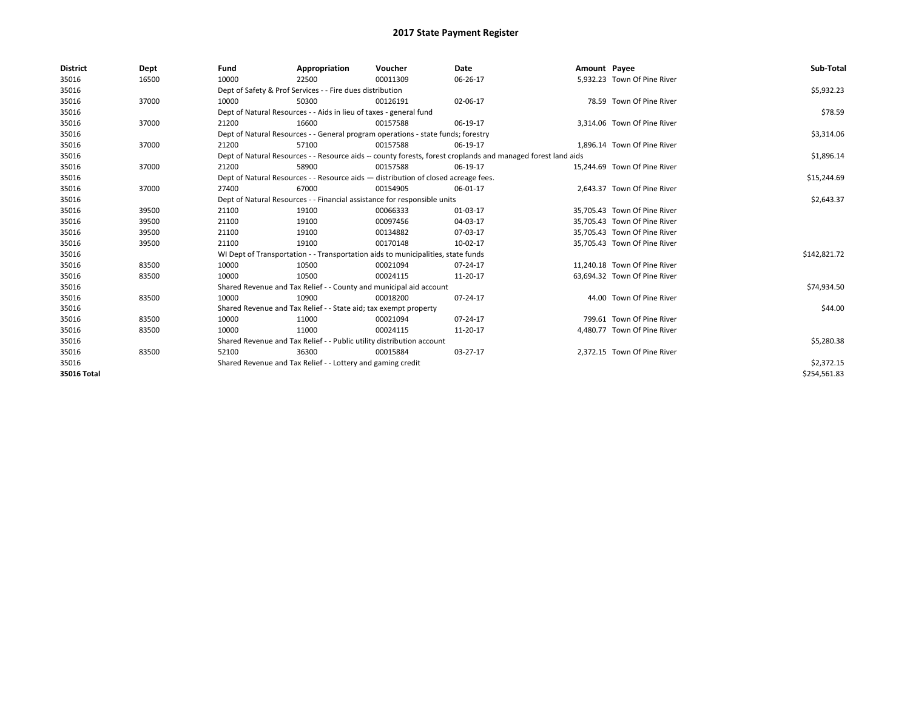| <b>District</b> | Dept  | Fund                                                                  | Appropriation                                                                                                | Voucher    | Date        | Amount Payee |                              | Sub-Total    |  |  |  |
|-----------------|-------|-----------------------------------------------------------------------|--------------------------------------------------------------------------------------------------------------|------------|-------------|--------------|------------------------------|--------------|--|--|--|
| 35016           | 16500 | 10000                                                                 | 22500                                                                                                        | 00011309   | 06-26-17    |              | 5,932.23 Town Of Pine River  |              |  |  |  |
| 35016           |       |                                                                       | Dept of Safety & Prof Services - - Fire dues distribution                                                    |            |             |              |                              | \$5,932.23   |  |  |  |
| 35016           | 37000 | 10000                                                                 | 50300                                                                                                        | 00126191   | 02-06-17    |              | 78.59 Town Of Pine River     |              |  |  |  |
| 35016           |       |                                                                       | Dept of Natural Resources - - Aids in lieu of taxes - general fund                                           |            |             |              |                              | \$78.59      |  |  |  |
| 35016           | 37000 | 21200                                                                 | 16600                                                                                                        | 00157588   | 06-19-17    |              | 3,314.06 Town Of Pine River  |              |  |  |  |
| 35016           |       |                                                                       | Dept of Natural Resources - - General program operations - state funds; forestry                             |            |             |              |                              | \$3,314.06   |  |  |  |
| 35016           | 37000 | 21200                                                                 | 57100                                                                                                        | 00157588   | 06-19-17    |              | 1,896.14 Town Of Pine River  |              |  |  |  |
| 35016           |       |                                                                       | Dept of Natural Resources - - Resource aids -- county forests, forest croplands and managed forest land aids |            |             |              |                              |              |  |  |  |
| 35016           | 37000 | 21200                                                                 | 58900                                                                                                        | 00157588   | 06-19-17    |              | 15,244.69 Town Of Pine River |              |  |  |  |
| 35016           |       |                                                                       | Dept of Natural Resources - - Resource aids - distribution of closed acreage fees.                           |            | \$15,244.69 |              |                              |              |  |  |  |
| 35016           | 37000 | 27400                                                                 | 67000                                                                                                        | 00154905   | 06-01-17    |              | 2.643.37 Town Of Pine River  |              |  |  |  |
| 35016           |       |                                                                       | Dept of Natural Resources - - Financial assistance for responsible units                                     |            |             |              |                              |              |  |  |  |
| 35016           | 39500 | 21100                                                                 | 19100                                                                                                        | 00066333   | 01-03-17    |              | 35,705.43 Town Of Pine River |              |  |  |  |
| 35016           | 39500 | 21100                                                                 | 19100                                                                                                        | 00097456   | 04-03-17    |              | 35,705.43 Town Of Pine River |              |  |  |  |
| 35016           | 39500 | 21100                                                                 | 19100                                                                                                        | 00134882   | 07-03-17    |              | 35,705.43 Town Of Pine River |              |  |  |  |
| 35016           | 39500 | 21100                                                                 | 19100                                                                                                        | 00170148   | 10-02-17    |              | 35,705.43 Town Of Pine River |              |  |  |  |
| 35016           |       |                                                                       | WI Dept of Transportation - - Transportation aids to municipalities, state funds                             |            |             |              |                              | \$142,821.72 |  |  |  |
| 35016           | 83500 | 10000                                                                 | 10500                                                                                                        | 00021094   | 07-24-17    |              | 11,240.18 Town Of Pine River |              |  |  |  |
| 35016           | 83500 | 10000                                                                 | 10500                                                                                                        | 00024115   | 11-20-17    |              | 63,694.32 Town Of Pine River |              |  |  |  |
| 35016           |       |                                                                       | Shared Revenue and Tax Relief - - County and municipal aid account                                           |            |             |              |                              | \$74,934.50  |  |  |  |
| 35016           | 83500 | 10000                                                                 | 10900                                                                                                        | 00018200   | 07-24-17    |              | 44.00 Town Of Pine River     |              |  |  |  |
| 35016           |       |                                                                       | Shared Revenue and Tax Relief - - State aid; tax exempt property                                             |            |             |              |                              | \$44.00      |  |  |  |
| 35016           | 83500 | 10000                                                                 | 11000                                                                                                        | 00021094   | 07-24-17    |              | 799.61 Town Of Pine River    |              |  |  |  |
| 35016           | 83500 | 10000                                                                 | 11000                                                                                                        | 00024115   | 11-20-17    |              | 4,480.77 Town Of Pine River  |              |  |  |  |
| 35016           |       | Shared Revenue and Tax Relief - - Public utility distribution account |                                                                                                              | \$5,280.38 |             |              |                              |              |  |  |  |
| 35016           | 83500 | 52100                                                                 | 36300                                                                                                        | 00015884   | 03-27-17    |              | 2.372.15 Town Of Pine River  |              |  |  |  |
| 35016           |       |                                                                       | Shared Revenue and Tax Relief - - Lottery and gaming credit                                                  |            |             |              |                              | \$2,372.15   |  |  |  |
| 35016 Total     |       |                                                                       |                                                                                                              |            |             |              |                              | \$254.561.83 |  |  |  |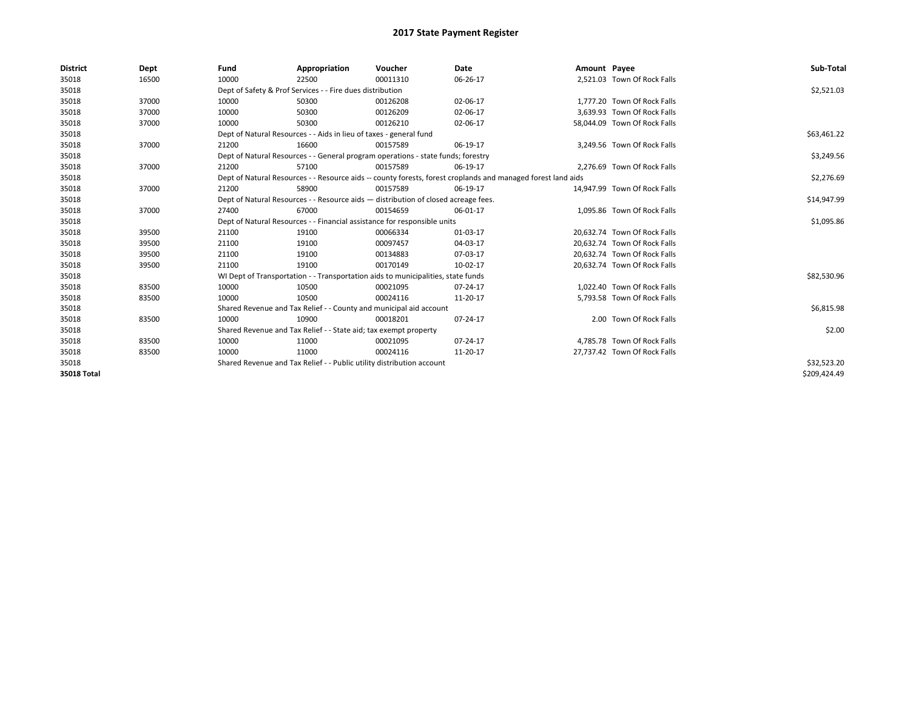| <b>District</b>    | Dept  | Fund                                                                               | Appropriation                                                                                                | Voucher     | Date     | Amount Payee |                              | Sub-Total    |  |  |  |
|--------------------|-------|------------------------------------------------------------------------------------|--------------------------------------------------------------------------------------------------------------|-------------|----------|--------------|------------------------------|--------------|--|--|--|
| 35018              | 16500 | 10000                                                                              | 22500                                                                                                        | 00011310    | 06-26-17 |              | 2,521.03 Town Of Rock Falls  |              |  |  |  |
| 35018              |       |                                                                                    | Dept of Safety & Prof Services - - Fire dues distribution                                                    |             |          |              |                              | \$2,521.03   |  |  |  |
| 35018              | 37000 | 10000                                                                              | 50300                                                                                                        | 00126208    | 02-06-17 |              | 1.777.20 Town Of Rock Falls  |              |  |  |  |
| 35018              | 37000 | 10000                                                                              | 50300                                                                                                        | 00126209    | 02-06-17 |              | 3.639.93 Town Of Rock Falls  |              |  |  |  |
| 35018              | 37000 | 10000                                                                              | 50300                                                                                                        | 00126210    | 02-06-17 |              | 58,044.09 Town Of Rock Falls |              |  |  |  |
| 35018              |       |                                                                                    | Dept of Natural Resources - - Aids in lieu of taxes - general fund                                           |             |          |              |                              | \$63,461.22  |  |  |  |
| 35018              | 37000 | 21200                                                                              | 16600                                                                                                        | 00157589    | 06-19-17 |              | 3.249.56 Town Of Rock Falls  |              |  |  |  |
| 35018              |       |                                                                                    | Dept of Natural Resources - - General program operations - state funds; forestry                             |             |          |              |                              | \$3,249.56   |  |  |  |
| 35018              | 37000 | 21200                                                                              | 57100                                                                                                        | 00157589    | 06-19-17 |              | 2,276.69 Town Of Rock Falls  |              |  |  |  |
| 35018              |       |                                                                                    | Dept of Natural Resources - - Resource aids -- county forests, forest croplands and managed forest land aids |             |          |              |                              |              |  |  |  |
| 35018              | 37000 | 21200                                                                              | 58900                                                                                                        | 00157589    | 06-19-17 |              | 14.947.99 Town Of Rock Falls |              |  |  |  |
| 35018              |       | Dept of Natural Resources - - Resource aids - distribution of closed acreage fees. |                                                                                                              | \$14,947.99 |          |              |                              |              |  |  |  |
| 35018              | 37000 | 27400                                                                              | 67000                                                                                                        | 00154659    | 06-01-17 |              | 1,095.86 Town Of Rock Falls  |              |  |  |  |
| 35018              |       |                                                                                    | Dept of Natural Resources - - Financial assistance for responsible units                                     |             |          |              |                              | \$1,095.86   |  |  |  |
| 35018              | 39500 | 21100                                                                              | 19100                                                                                                        | 00066334    | 01-03-17 |              | 20,632.74 Town Of Rock Falls |              |  |  |  |
| 35018              | 39500 | 21100                                                                              | 19100                                                                                                        | 00097457    | 04-03-17 |              | 20.632.74 Town Of Rock Falls |              |  |  |  |
| 35018              | 39500 | 21100                                                                              | 19100                                                                                                        | 00134883    | 07-03-17 |              | 20,632.74 Town Of Rock Falls |              |  |  |  |
| 35018              | 39500 | 21100                                                                              | 19100                                                                                                        | 00170149    | 10-02-17 |              | 20.632.74 Town Of Rock Falls |              |  |  |  |
| 35018              |       |                                                                                    | WI Dept of Transportation - - Transportation aids to municipalities, state funds                             |             |          |              |                              | \$82,530.96  |  |  |  |
| 35018              | 83500 | 10000                                                                              | 10500                                                                                                        | 00021095    | 07-24-17 |              | 1.022.40 Town Of Rock Falls  |              |  |  |  |
| 35018              | 83500 | 10000                                                                              | 10500                                                                                                        | 00024116    | 11-20-17 |              | 5,793.58 Town Of Rock Falls  |              |  |  |  |
| 35018              |       |                                                                                    | Shared Revenue and Tax Relief - - County and municipal aid account                                           |             |          |              |                              | \$6,815.98   |  |  |  |
| 35018              | 83500 | 10000                                                                              | 10900                                                                                                        | 00018201    | 07-24-17 |              | 2.00 Town Of Rock Falls      |              |  |  |  |
| 35018              |       |                                                                                    | Shared Revenue and Tax Relief - - State aid; tax exempt property                                             |             |          |              |                              | \$2.00       |  |  |  |
| 35018              | 83500 | 10000                                                                              | 11000                                                                                                        | 00021095    | 07-24-17 |              | 4.785.78 Town Of Rock Falls  |              |  |  |  |
| 35018              | 83500 | 10000                                                                              | 11000                                                                                                        | 00024116    | 11-20-17 |              | 27,737.42 Town Of Rock Falls |              |  |  |  |
| 35018              |       |                                                                                    | Shared Revenue and Tax Relief - - Public utility distribution account                                        |             |          |              |                              | \$32,523.20  |  |  |  |
| <b>35018 Total</b> |       |                                                                                    |                                                                                                              |             |          |              |                              | \$209,424.49 |  |  |  |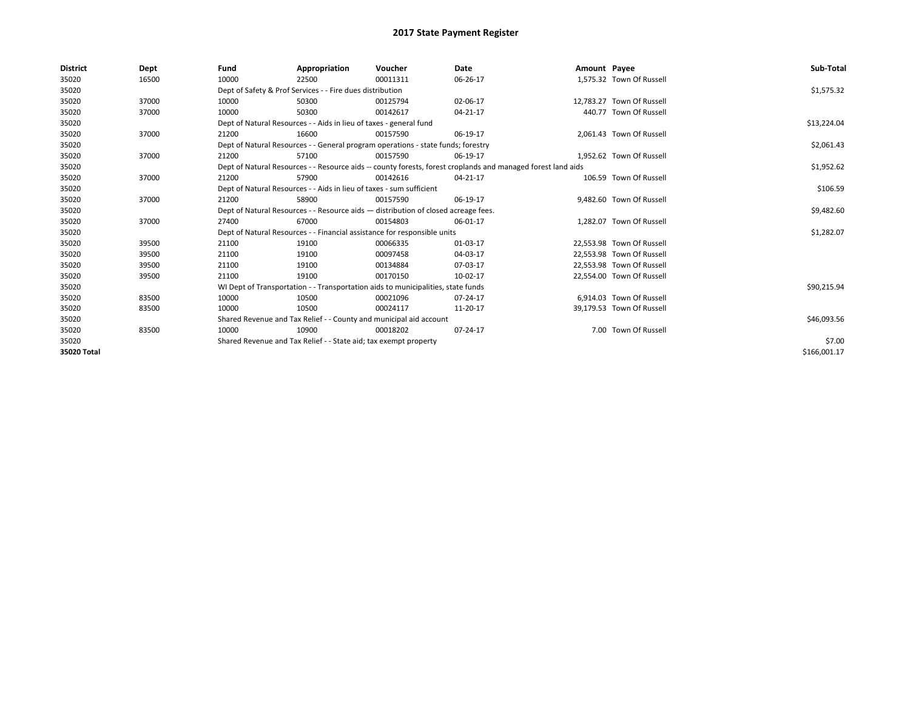| <b>District</b> | Dept  | Fund                                                                               | Appropriation                                                                                                | Voucher     | Date     | Amount Payee |                           | Sub-Total    |  |  |  |
|-----------------|-------|------------------------------------------------------------------------------------|--------------------------------------------------------------------------------------------------------------|-------------|----------|--------------|---------------------------|--------------|--|--|--|
| 35020           | 16500 | 10000                                                                              | 22500                                                                                                        | 00011311    | 06-26-17 |              | 1.575.32 Town Of Russell  |              |  |  |  |
| 35020           |       |                                                                                    | Dept of Safety & Prof Services - - Fire dues distribution                                                    |             |          |              |                           | \$1,575.32   |  |  |  |
| 35020           | 37000 | 10000                                                                              | 50300                                                                                                        | 00125794    | 02-06-17 |              | 12,783.27 Town Of Russell |              |  |  |  |
| 35020           | 37000 | 10000                                                                              | 50300                                                                                                        | 00142617    | 04-21-17 |              | 440.77 Town Of Russell    |              |  |  |  |
| 35020           |       |                                                                                    | Dept of Natural Resources - - Aids in lieu of taxes - general fund                                           |             |          |              |                           | \$13,224.04  |  |  |  |
| 35020           | 37000 | 21200                                                                              | 16600                                                                                                        | 00157590    | 06-19-17 |              | 2,061.43 Town Of Russell  |              |  |  |  |
| 35020           |       |                                                                                    | Dept of Natural Resources - - General program operations - state funds; forestry                             |             |          |              |                           | \$2,061.43   |  |  |  |
| 35020           | 37000 | 21200                                                                              | 57100                                                                                                        | 00157590    | 06-19-17 |              | 1.952.62 Town Of Russell  |              |  |  |  |
| 35020           |       |                                                                                    | Dept of Natural Resources - - Resource aids -- county forests, forest croplands and managed forest land aids |             |          |              |                           |              |  |  |  |
| 35020           | 37000 | 21200                                                                              | 57900                                                                                                        | 00142616    | 04-21-17 |              | 106.59 Town Of Russell    |              |  |  |  |
| 35020           |       | Dept of Natural Resources - - Aids in lieu of taxes - sum sufficient               |                                                                                                              | \$106.59    |          |              |                           |              |  |  |  |
| 35020           | 37000 | 21200                                                                              | 58900                                                                                                        | 00157590    | 06-19-17 |              | 9,482.60 Town Of Russell  |              |  |  |  |
| 35020           |       | Dept of Natural Resources - - Resource aids - distribution of closed acreage fees. |                                                                                                              | \$9,482.60  |          |              |                           |              |  |  |  |
| 35020           | 37000 | 27400                                                                              | 67000                                                                                                        | 00154803    | 06-01-17 |              | 1,282.07 Town Of Russell  |              |  |  |  |
| 35020           |       |                                                                                    | Dept of Natural Resources - - Financial assistance for responsible units                                     |             |          |              |                           | \$1,282.07   |  |  |  |
| 35020           | 39500 | 21100                                                                              | 19100                                                                                                        | 00066335    | 01-03-17 |              | 22.553.98 Town Of Russell |              |  |  |  |
| 35020           | 39500 | 21100                                                                              | 19100                                                                                                        | 00097458    | 04-03-17 |              | 22,553.98 Town Of Russell |              |  |  |  |
| 35020           | 39500 | 21100                                                                              | 19100                                                                                                        | 00134884    | 07-03-17 |              | 22,553.98 Town Of Russell |              |  |  |  |
| 35020           | 39500 | 21100                                                                              | 19100                                                                                                        | 00170150    | 10-02-17 |              | 22,554.00 Town Of Russell |              |  |  |  |
| 35020           |       |                                                                                    | WI Dept of Transportation - - Transportation aids to municipalities, state funds                             |             |          |              |                           | \$90,215.94  |  |  |  |
| 35020           | 83500 | 10000                                                                              | 10500                                                                                                        | 00021096    | 07-24-17 |              | 6.914.03 Town Of Russell  |              |  |  |  |
| 35020           | 83500 | 10000                                                                              | 10500                                                                                                        | 00024117    | 11-20-17 |              | 39,179.53 Town Of Russell |              |  |  |  |
| 35020           |       | Shared Revenue and Tax Relief - - County and municipal aid account                 |                                                                                                              | \$46,093.56 |          |              |                           |              |  |  |  |
| 35020           | 83500 | 10000                                                                              | 10900                                                                                                        | 00018202    | 07-24-17 |              | 7.00 Town Of Russell      |              |  |  |  |
| 35020           |       |                                                                                    | Shared Revenue and Tax Relief - - State aid; tax exempt property                                             |             |          |              |                           | \$7.00       |  |  |  |
| 35020 Total     |       |                                                                                    |                                                                                                              |             |          |              |                           | \$166,001.17 |  |  |  |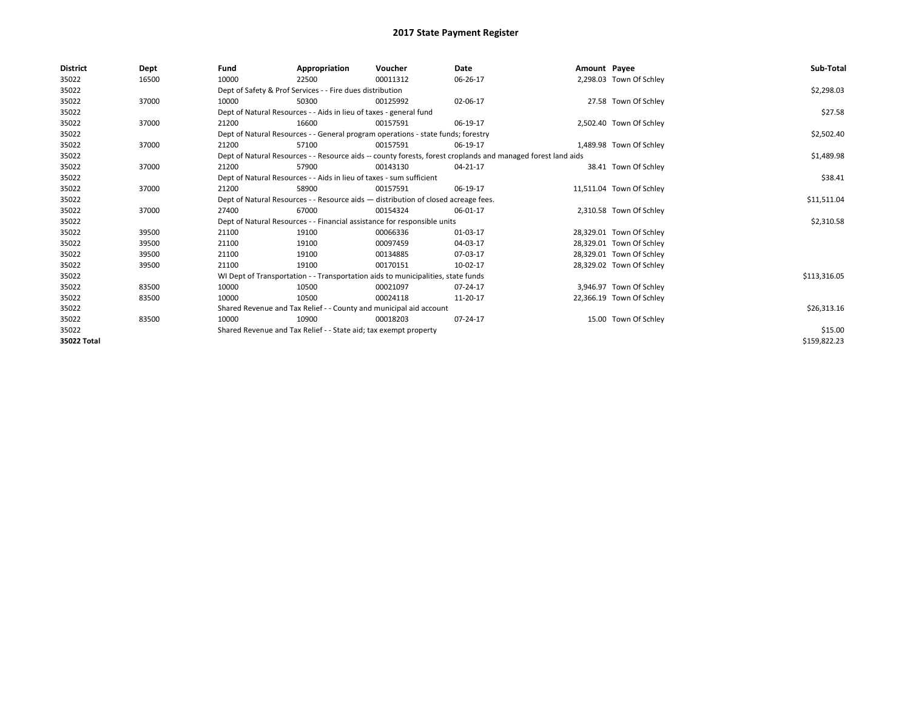| <b>District</b> | Dept  | Fund                                                                               | Appropriation                                                                                                | Voucher     | Date     | Amount Payee |                          | Sub-Total    |  |  |  |
|-----------------|-------|------------------------------------------------------------------------------------|--------------------------------------------------------------------------------------------------------------|-------------|----------|--------------|--------------------------|--------------|--|--|--|
| 35022           | 16500 | 10000                                                                              | 22500                                                                                                        | 00011312    | 06-26-17 |              | 2,298.03 Town Of Schley  |              |  |  |  |
| 35022           |       |                                                                                    | Dept of Safety & Prof Services - - Fire dues distribution                                                    |             |          |              |                          | \$2,298.03   |  |  |  |
| 35022           | 37000 | 10000                                                                              | 50300                                                                                                        | 00125992    | 02-06-17 |              | 27.58 Town Of Schley     |              |  |  |  |
| 35022           |       |                                                                                    | Dept of Natural Resources - - Aids in lieu of taxes - general fund                                           |             |          |              |                          |              |  |  |  |
| 35022           | 37000 | 21200                                                                              | 16600                                                                                                        | 00157591    | 06-19-17 |              | 2,502.40 Town Of Schley  |              |  |  |  |
| 35022           |       |                                                                                    | Dept of Natural Resources - - General program operations - state funds; forestry                             |             |          |              |                          | \$2,502.40   |  |  |  |
| 35022           | 37000 | 21200                                                                              | 57100                                                                                                        | 00157591    | 06-19-17 |              | 1,489.98 Town Of Schley  |              |  |  |  |
| 35022           |       |                                                                                    | Dept of Natural Resources - - Resource aids -- county forests, forest croplands and managed forest land aids |             |          |              |                          |              |  |  |  |
| 35022           | 37000 | 21200                                                                              | 57900                                                                                                        | 00143130    | 04-21-17 |              | 38.41 Town Of Schley     |              |  |  |  |
| 35022           |       |                                                                                    | Dept of Natural Resources - - Aids in lieu of taxes - sum sufficient                                         |             |          |              |                          | \$38.41      |  |  |  |
| 35022           | 37000 | 21200                                                                              | 58900                                                                                                        | 00157591    | 06-19-17 |              | 11,511.04 Town Of Schley |              |  |  |  |
| 35022           |       | Dept of Natural Resources - - Resource aids - distribution of closed acreage fees. |                                                                                                              | \$11,511.04 |          |              |                          |              |  |  |  |
| 35022           | 37000 | 27400                                                                              | 67000                                                                                                        | 00154324    | 06-01-17 |              | 2,310.58 Town Of Schley  |              |  |  |  |
| 35022           |       |                                                                                    | Dept of Natural Resources - - Financial assistance for responsible units                                     |             |          |              |                          | \$2,310.58   |  |  |  |
| 35022           | 39500 | 21100                                                                              | 19100                                                                                                        | 00066336    | 01-03-17 |              | 28,329.01 Town Of Schley |              |  |  |  |
| 35022           | 39500 | 21100                                                                              | 19100                                                                                                        | 00097459    | 04-03-17 |              | 28,329.01 Town Of Schley |              |  |  |  |
| 35022           | 39500 | 21100                                                                              | 19100                                                                                                        | 00134885    | 07-03-17 |              | 28,329.01 Town Of Schley |              |  |  |  |
| 35022           | 39500 | 21100                                                                              | 19100                                                                                                        | 00170151    | 10-02-17 |              | 28,329.02 Town Of Schley |              |  |  |  |
| 35022           |       |                                                                                    | WI Dept of Transportation - - Transportation aids to municipalities, state funds                             |             |          |              |                          | \$113,316.05 |  |  |  |
| 35022           | 83500 | 10000                                                                              | 10500                                                                                                        | 00021097    | 07-24-17 |              | 3,946.97 Town Of Schley  |              |  |  |  |
| 35022           | 83500 | 10000                                                                              | 10500                                                                                                        | 00024118    | 11-20-17 |              | 22,366.19 Town Of Schley |              |  |  |  |
| 35022           |       | Shared Revenue and Tax Relief - - County and municipal aid account                 |                                                                                                              | \$26,313.16 |          |              |                          |              |  |  |  |
| 35022           | 83500 | 10000                                                                              | 10900                                                                                                        | 00018203    | 07-24-17 |              | 15.00 Town Of Schley     |              |  |  |  |
| 35022           |       |                                                                                    | Shared Revenue and Tax Relief - - State aid; tax exempt property                                             |             |          |              |                          | \$15.00      |  |  |  |
| 35022 Total     |       |                                                                                    |                                                                                                              |             |          |              |                          | \$159,822.23 |  |  |  |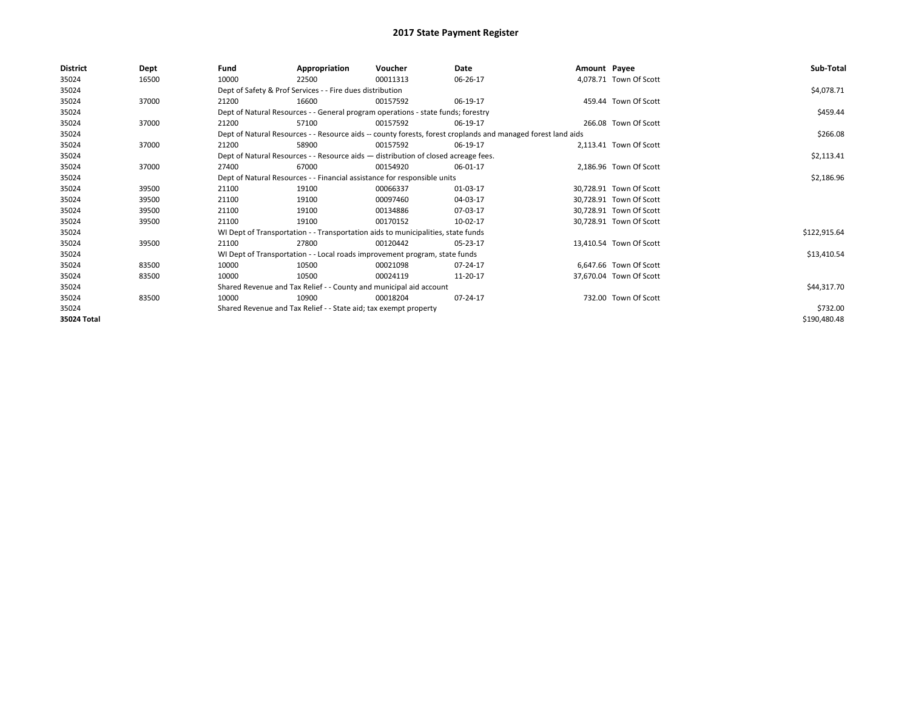| <b>District</b> | <b>Dept</b> | Fund  | Appropriation                                                                      | Voucher  | Date                                                                                                         | Amount Payee |                         | Sub-Total    |
|-----------------|-------------|-------|------------------------------------------------------------------------------------|----------|--------------------------------------------------------------------------------------------------------------|--------------|-------------------------|--------------|
| 35024           | 16500       | 10000 | 22500                                                                              | 00011313 | 06-26-17                                                                                                     |              | 4,078.71 Town Of Scott  |              |
| 35024           |             |       | Dept of Safety & Prof Services - - Fire dues distribution                          |          |                                                                                                              |              |                         | \$4,078.71   |
| 35024           | 37000       | 21200 | 16600                                                                              | 00157592 | 06-19-17                                                                                                     |              | 459.44 Town Of Scott    |              |
| 35024           |             |       | Dept of Natural Resources - - General program operations - state funds; forestry   |          |                                                                                                              |              |                         | \$459.44     |
| 35024           | 37000       | 21200 | 57100                                                                              | 00157592 | 06-19-17                                                                                                     |              | 266.08 Town Of Scott    |              |
| 35024           |             |       |                                                                                    |          | Dept of Natural Resources - - Resource aids -- county forests, forest croplands and managed forest land aids |              |                         | \$266.08     |
| 35024           | 37000       | 21200 | 58900                                                                              | 00157592 | 06-19-17                                                                                                     |              | 2,113.41 Town Of Scott  |              |
| 35024           |             |       | Dept of Natural Resources - - Resource aids - distribution of closed acreage fees. |          |                                                                                                              |              |                         | \$2,113.41   |
| 35024           | 37000       | 27400 | 67000                                                                              | 00154920 | 06-01-17                                                                                                     |              | 2,186.96 Town Of Scott  |              |
| 35024           |             |       | Dept of Natural Resources - - Financial assistance for responsible units           |          |                                                                                                              |              |                         | \$2,186.96   |
| 35024           | 39500       | 21100 | 19100                                                                              | 00066337 | 01-03-17                                                                                                     |              | 30.728.91 Town Of Scott |              |
| 35024           | 39500       | 21100 | 19100                                                                              | 00097460 | 04-03-17                                                                                                     |              | 30.728.91 Town Of Scott |              |
| 35024           | 39500       | 21100 | 19100                                                                              | 00134886 | 07-03-17                                                                                                     |              | 30.728.91 Town Of Scott |              |
| 35024           | 39500       | 21100 | 19100                                                                              | 00170152 | 10-02-17                                                                                                     |              | 30,728.91 Town Of Scott |              |
| 35024           |             |       | WI Dept of Transportation - - Transportation aids to municipalities, state funds   |          |                                                                                                              |              |                         | \$122,915.64 |
| 35024           | 39500       | 21100 | 27800                                                                              | 00120442 | 05-23-17                                                                                                     |              | 13,410.54 Town Of Scott |              |
| 35024           |             |       | WI Dept of Transportation - - Local roads improvement program, state funds         |          |                                                                                                              |              |                         | \$13,410.54  |
| 35024           | 83500       | 10000 | 10500                                                                              | 00021098 | 07-24-17                                                                                                     |              | 6,647.66 Town Of Scott  |              |
| 35024           | 83500       | 10000 | 10500                                                                              | 00024119 | 11-20-17                                                                                                     |              | 37,670.04 Town Of Scott |              |
| 35024           |             |       | Shared Revenue and Tax Relief - - County and municipal aid account                 |          |                                                                                                              |              |                         | \$44,317.70  |
| 35024           | 83500       | 10000 | 10900                                                                              | 00018204 | 07-24-17                                                                                                     |              | 732.00 Town Of Scott    |              |
| 35024           |             |       | Shared Revenue and Tax Relief - - State aid; tax exempt property                   |          |                                                                                                              |              |                         | \$732.00     |
| 35024 Total     |             |       |                                                                                    |          |                                                                                                              |              |                         | \$190,480.48 |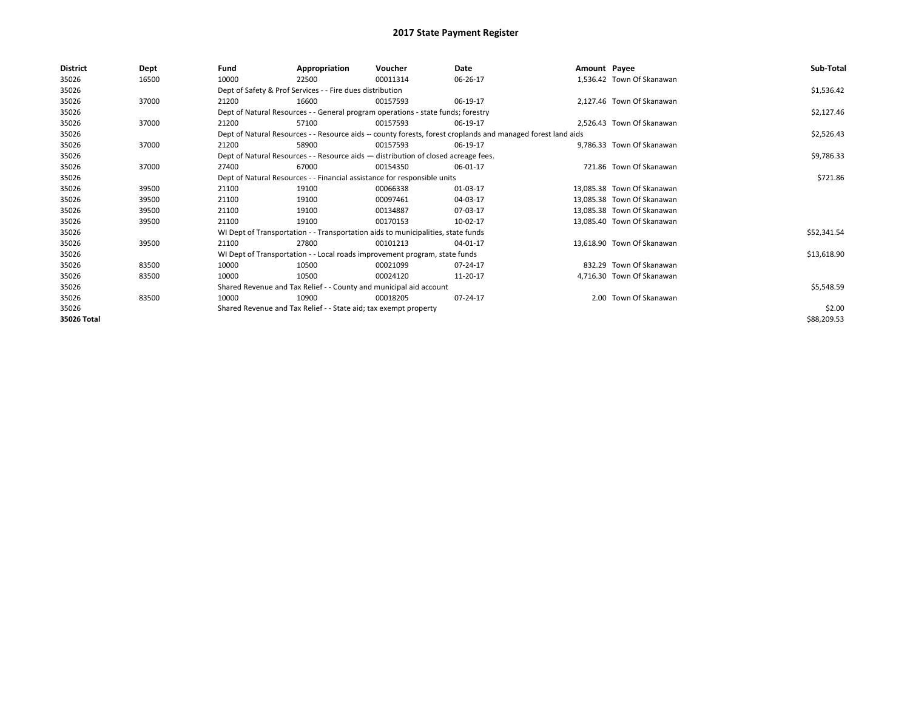| <b>District</b> | <b>Dept</b> | Fund  | Appropriation                                                                      | Voucher  | Date                                                                                                         | Amount Payee |                            | Sub-Total   |
|-----------------|-------------|-------|------------------------------------------------------------------------------------|----------|--------------------------------------------------------------------------------------------------------------|--------------|----------------------------|-------------|
| 35026           | 16500       | 10000 | 22500                                                                              | 00011314 | 06-26-17                                                                                                     |              | 1,536.42 Town Of Skanawan  |             |
| 35026           |             |       | Dept of Safety & Prof Services - - Fire dues distribution                          |          |                                                                                                              |              |                            | \$1,536.42  |
| 35026           | 37000       | 21200 | 16600                                                                              | 00157593 | 06-19-17                                                                                                     |              | 2,127.46 Town Of Skanawan  |             |
| 35026           |             |       | Dept of Natural Resources - - General program operations - state funds; forestry   |          |                                                                                                              |              |                            | \$2,127.46  |
| 35026           | 37000       | 21200 | 57100                                                                              | 00157593 | 06-19-17                                                                                                     |              | 2.526.43 Town Of Skanawan  |             |
| 35026           |             |       |                                                                                    |          | Dept of Natural Resources - - Resource aids -- county forests, forest croplands and managed forest land aids |              |                            | \$2,526.43  |
| 35026           | 37000       | 21200 | 58900                                                                              | 00157593 | 06-19-17                                                                                                     |              | 9,786.33 Town Of Skanawan  |             |
| 35026           |             |       | Dept of Natural Resources - - Resource aids - distribution of closed acreage fees. |          |                                                                                                              |              |                            | \$9,786.33  |
| 35026           | 37000       | 27400 | 67000                                                                              | 00154350 | 06-01-17                                                                                                     |              | 721.86 Town Of Skanawan    |             |
| 35026           |             |       | Dept of Natural Resources - - Financial assistance for responsible units           |          |                                                                                                              |              |                            | \$721.86    |
| 35026           | 39500       | 21100 | 19100                                                                              | 00066338 | 01-03-17                                                                                                     |              | 13.085.38 Town Of Skanawan |             |
| 35026           | 39500       | 21100 | 19100                                                                              | 00097461 | 04-03-17                                                                                                     |              | 13.085.38 Town Of Skanawan |             |
| 35026           | 39500       | 21100 | 19100                                                                              | 00134887 | 07-03-17                                                                                                     |              | 13.085.38 Town Of Skanawan |             |
| 35026           | 39500       | 21100 | 19100                                                                              | 00170153 | 10-02-17                                                                                                     |              | 13,085.40 Town Of Skanawan |             |
| 35026           |             |       | WI Dept of Transportation - - Transportation aids to municipalities, state funds   |          |                                                                                                              |              |                            | \$52,341.54 |
| 35026           | 39500       | 21100 | 27800                                                                              | 00101213 | 04-01-17                                                                                                     |              | 13,618.90 Town Of Skanawan |             |
| 35026           |             |       | WI Dept of Transportation - - Local roads improvement program, state funds         |          |                                                                                                              |              |                            | \$13,618.90 |
| 35026           | 83500       | 10000 | 10500                                                                              | 00021099 | 07-24-17                                                                                                     |              | 832.29 Town Of Skanawan    |             |
| 35026           | 83500       | 10000 | 10500                                                                              | 00024120 | 11-20-17                                                                                                     |              | 4,716.30 Town Of Skanawan  |             |
| 35026           |             |       | Shared Revenue and Tax Relief - - County and municipal aid account                 |          |                                                                                                              |              |                            | \$5,548.59  |
| 35026           | 83500       | 10000 | 10900                                                                              | 00018205 | 07-24-17                                                                                                     |              | 2.00 Town Of Skanawan      |             |
| 35026           |             |       | Shared Revenue and Tax Relief - - State aid; tax exempt property                   |          |                                                                                                              |              |                            | \$2.00      |
| 35026 Total     |             |       |                                                                                    |          |                                                                                                              |              |                            | \$88,209.53 |
|                 |             |       |                                                                                    |          |                                                                                                              |              |                            |             |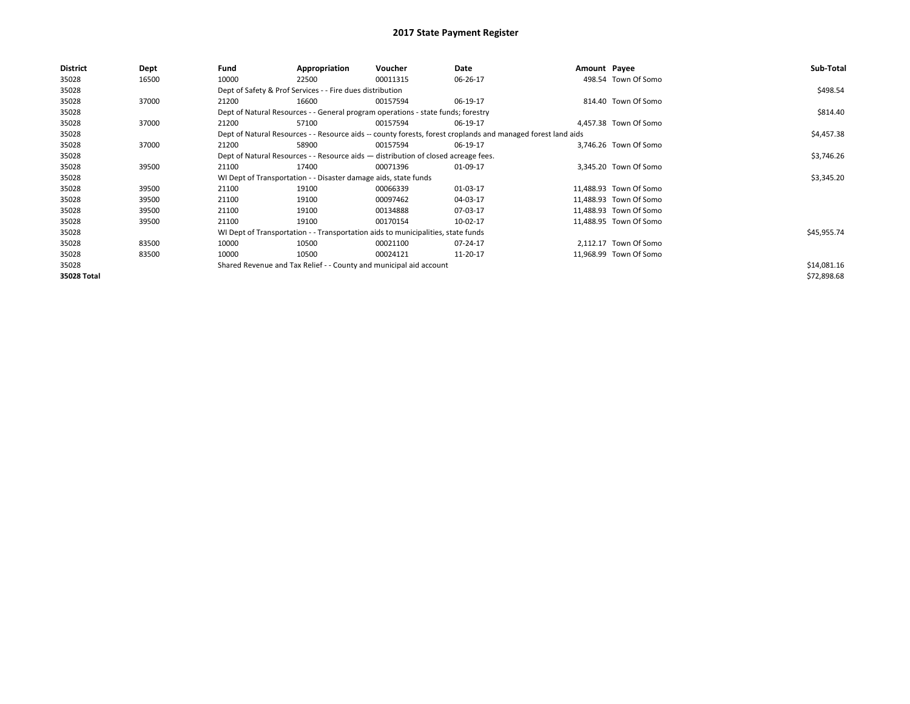| <b>District</b> | Dept  | Fund  | Appropriation                                                                      | Voucher  | Date                                                                                                         | Amount Payee |                        | Sub-Total   |  |  |
|-----------------|-------|-------|------------------------------------------------------------------------------------|----------|--------------------------------------------------------------------------------------------------------------|--------------|------------------------|-------------|--|--|
| 35028           | 16500 | 10000 | 22500                                                                              | 00011315 | 06-26-17                                                                                                     |              | 498.54 Town Of Somo    |             |  |  |
| 35028           |       |       | Dept of Safety & Prof Services - - Fire dues distribution                          |          |                                                                                                              |              |                        | \$498.54    |  |  |
| 35028           | 37000 | 21200 | 16600                                                                              | 00157594 | 06-19-17                                                                                                     |              | 814.40 Town Of Somo    |             |  |  |
| 35028           |       |       | Dept of Natural Resources - - General program operations - state funds; forestry   |          |                                                                                                              |              |                        | \$814.40    |  |  |
| 35028           | 37000 | 21200 | 57100                                                                              | 00157594 | 06-19-17                                                                                                     |              | 4.457.38 Town Of Somo  |             |  |  |
| 35028           |       |       |                                                                                    |          | Dept of Natural Resources - - Resource aids -- county forests, forest croplands and managed forest land aids |              |                        | \$4,457.38  |  |  |
| 35028           | 37000 | 21200 | 58900                                                                              | 00157594 | 06-19-17                                                                                                     |              | 3,746.26 Town Of Somo  |             |  |  |
| 35028           |       |       | Dept of Natural Resources - - Resource aids - distribution of closed acreage fees. |          |                                                                                                              |              |                        |             |  |  |
| 35028           | 39500 | 21100 | 17400                                                                              | 00071396 | 01-09-17                                                                                                     |              | 3,345.20 Town Of Somo  |             |  |  |
| 35028           |       |       | WI Dept of Transportation - - Disaster damage aids, state funds                    |          |                                                                                                              |              |                        | \$3,345.20  |  |  |
| 35028           | 39500 | 21100 | 19100                                                                              | 00066339 | 01-03-17                                                                                                     |              | 11,488.93 Town Of Somo |             |  |  |
| 35028           | 39500 | 21100 | 19100                                                                              | 00097462 | 04-03-17                                                                                                     |              | 11,488.93 Town Of Somo |             |  |  |
| 35028           | 39500 | 21100 | 19100                                                                              | 00134888 | 07-03-17                                                                                                     |              | 11,488.93 Town Of Somo |             |  |  |
| 35028           | 39500 | 21100 | 19100                                                                              | 00170154 | 10-02-17                                                                                                     |              | 11,488.95 Town Of Somo |             |  |  |
| 35028           |       |       | WI Dept of Transportation - - Transportation aids to municipalities, state funds   |          |                                                                                                              |              |                        | \$45,955.74 |  |  |
| 35028           | 83500 | 10000 | 10500                                                                              | 00021100 | 07-24-17                                                                                                     |              | 2.112.17 Town Of Somo  |             |  |  |
| 35028           | 83500 | 10000 | 10500                                                                              | 00024121 | 11-20-17                                                                                                     |              | 11,968.99 Town Of Somo |             |  |  |
| 35028           |       |       | Shared Revenue and Tax Relief - - County and municipal aid account                 |          |                                                                                                              |              |                        | \$14,081.16 |  |  |
| 35028 Total     |       |       |                                                                                    |          |                                                                                                              |              |                        | \$72,898.68 |  |  |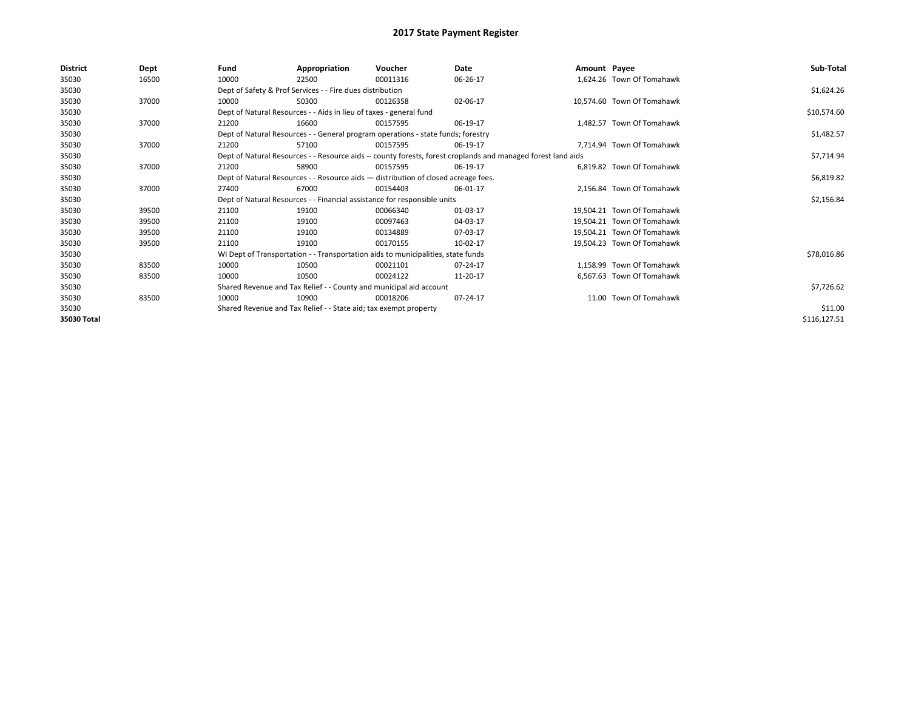| <b>District</b> | <b>Dept</b> | Fund  | Appropriation                                                                      | Voucher  | Date                                                                                                         | Amount Payee |                            | Sub-Total    |
|-----------------|-------------|-------|------------------------------------------------------------------------------------|----------|--------------------------------------------------------------------------------------------------------------|--------------|----------------------------|--------------|
| 35030           | 16500       | 10000 | 22500                                                                              | 00011316 | 06-26-17                                                                                                     |              | 1,624.26 Town Of Tomahawk  |              |
| 35030           |             |       | Dept of Safety & Prof Services - - Fire dues distribution                          |          |                                                                                                              |              |                            | \$1,624.26   |
| 35030           | 37000       | 10000 | 50300                                                                              | 00126358 | 02-06-17                                                                                                     |              | 10,574.60 Town Of Tomahawk |              |
| 35030           |             |       | Dept of Natural Resources - - Aids in lieu of taxes - general fund                 |          |                                                                                                              |              |                            | \$10,574.60  |
| 35030           | 37000       | 21200 | 16600                                                                              | 00157595 | 06-19-17                                                                                                     |              | 1,482.57 Town Of Tomahawk  |              |
| 35030           |             |       | Dept of Natural Resources - - General program operations - state funds; forestry   |          |                                                                                                              |              |                            | \$1,482.57   |
| 35030           | 37000       | 21200 | 57100                                                                              | 00157595 | 06-19-17                                                                                                     |              | 7,714.94 Town Of Tomahawk  |              |
| 35030           |             |       |                                                                                    |          | Dept of Natural Resources - - Resource aids -- county forests, forest croplands and managed forest land aids |              |                            | \$7,714.94   |
| 35030           | 37000       | 21200 | 58900                                                                              | 00157595 | 06-19-17                                                                                                     |              | 6.819.82 Town Of Tomahawk  |              |
| 35030           |             |       | Dept of Natural Resources - - Resource aids - distribution of closed acreage fees. |          |                                                                                                              |              |                            | \$6,819.82   |
| 35030           | 37000       | 27400 | 67000                                                                              | 00154403 | 06-01-17                                                                                                     |              | 2.156.84 Town Of Tomahawk  |              |
| 35030           |             |       | Dept of Natural Resources - - Financial assistance for responsible units           |          |                                                                                                              |              |                            | \$2,156.84   |
| 35030           | 39500       | 21100 | 19100                                                                              | 00066340 | 01-03-17                                                                                                     |              | 19.504.21 Town Of Tomahawk |              |
| 35030           | 39500       | 21100 | 19100                                                                              | 00097463 | 04-03-17                                                                                                     |              | 19.504.21 Town Of Tomahawk |              |
| 35030           | 39500       | 21100 | 19100                                                                              | 00134889 | 07-03-17                                                                                                     |              | 19.504.21 Town Of Tomahawk |              |
| 35030           | 39500       | 21100 | 19100                                                                              | 00170155 | 10-02-17                                                                                                     |              | 19.504.23 Town Of Tomahawk |              |
| 35030           |             |       | WI Dept of Transportation - - Transportation aids to municipalities, state funds   |          |                                                                                                              |              |                            | \$78,016.86  |
| 35030           | 83500       | 10000 | 10500                                                                              | 00021101 | 07-24-17                                                                                                     |              | 1.158.99 Town Of Tomahawk  |              |
| 35030           | 83500       | 10000 | 10500                                                                              | 00024122 | 11-20-17                                                                                                     |              | 6.567.63 Town Of Tomahawk  |              |
| 35030           |             |       | Shared Revenue and Tax Relief - - County and municipal aid account                 |          |                                                                                                              |              |                            | \$7,726.62   |
| 35030           | 83500       | 10000 | 10900                                                                              | 00018206 | 07-24-17                                                                                                     |              | 11.00 Town Of Tomahawk     |              |
| 35030           |             |       | Shared Revenue and Tax Relief - - State aid; tax exempt property                   |          |                                                                                                              |              |                            | \$11.00      |
| 35030 Total     |             |       |                                                                                    |          |                                                                                                              |              |                            | \$116,127.51 |
|                 |             |       |                                                                                    |          |                                                                                                              |              |                            |              |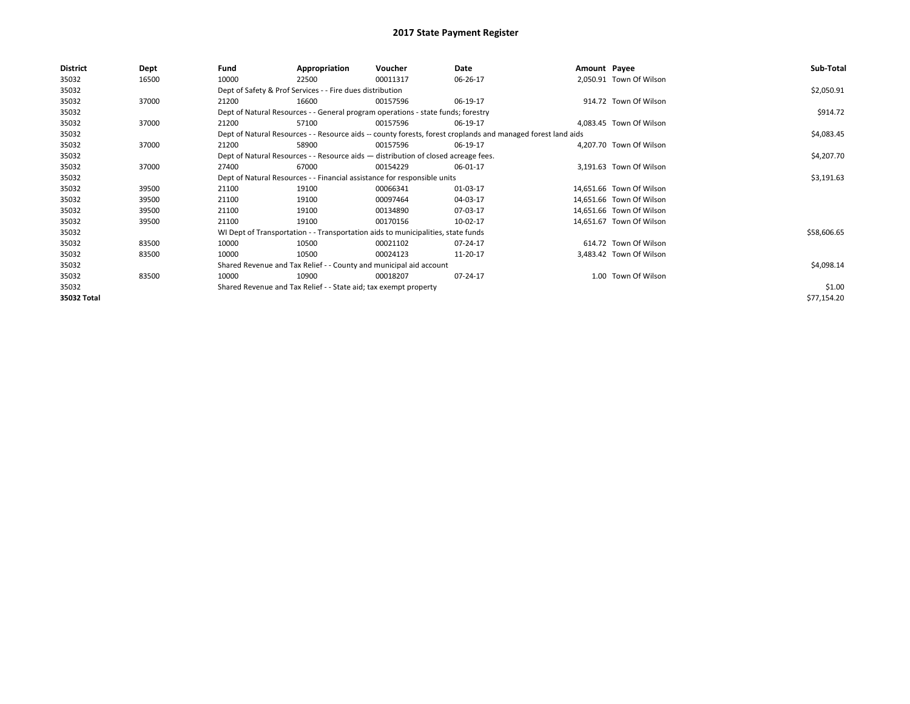| District<br>Fund<br>Appropriation<br>Voucher<br>Amount Payee<br>Dept<br>Date                                          |             |
|-----------------------------------------------------------------------------------------------------------------------|-------------|
| 2,050.91 Town Of Wilson<br>35032<br>16500<br>10000<br>00011317<br>06-26-17<br>22500                                   |             |
| Dept of Safety & Prof Services - - Fire dues distribution<br>35032                                                    | \$2,050.91  |
| 914.72 Town Of Wilson<br>35032<br>37000<br>21200<br>16600<br>06-19-17<br>00157596                                     |             |
| 35032<br>Dept of Natural Resources - - General program operations - state funds; forestry                             | \$914.72    |
| 35032<br>37000<br>21200<br>57100<br>06-19-17<br>4,083.45 Town Of Wilson<br>00157596                                   |             |
| Dept of Natural Resources - - Resource aids -- county forests, forest croplands and managed forest land aids<br>35032 | \$4,083.45  |
| 35032<br>4,207.70 Town Of Wilson<br>37000<br>21200<br>58900<br>06-19-17<br>00157596                                   |             |
| 35032<br>Dept of Natural Resources - - Resource aids - distribution of closed acreage fees.                           | \$4,207.70  |
| 35032<br>37000<br>3,191.63 Town Of Wilson<br>27400<br>67000<br>00154229<br>06-01-17                                   |             |
| 35032<br>Dept of Natural Resources - - Financial assistance for responsible units                                     | \$3,191.63  |
| 35032<br>39500<br>21100<br>01-03-17<br>14,651.66 Town Of Wilson<br>19100<br>00066341                                  |             |
| 35032<br>21100<br>14,651.66 Town Of Wilson<br>39500<br>19100<br>00097464<br>04-03-17                                  |             |
| 35032<br>21100<br>07-03-17<br>14,651.66 Town Of Wilson<br>39500<br>19100<br>00134890                                  |             |
| 35032<br>21100<br>39500<br>19100<br>00170156<br>10-02-17<br>14,651.67 Town Of Wilson                                  |             |
| 35032<br>WI Dept of Transportation - - Transportation aids to municipalities, state funds                             | \$58,606.65 |
| 35032<br>614.72 Town Of Wilson<br>83500<br>10000<br>10500<br>00021102<br>07-24-17                                     |             |
| 35032<br>10000<br>3,483.42 Town Of Wilson<br>83500<br>10500<br>00024123<br>11-20-17                                   |             |
| 35032<br>Shared Revenue and Tax Relief - - County and municipal aid account                                           | \$4,098.14  |
| 1.00 Town Of Wilson<br>35032<br>83500<br>10000<br>10900<br>07-24-17<br>00018207                                       |             |
| 35032<br>Shared Revenue and Tax Relief - - State aid; tax exempt property                                             | \$1.00      |
| 35032 Total                                                                                                           | \$77,154.20 |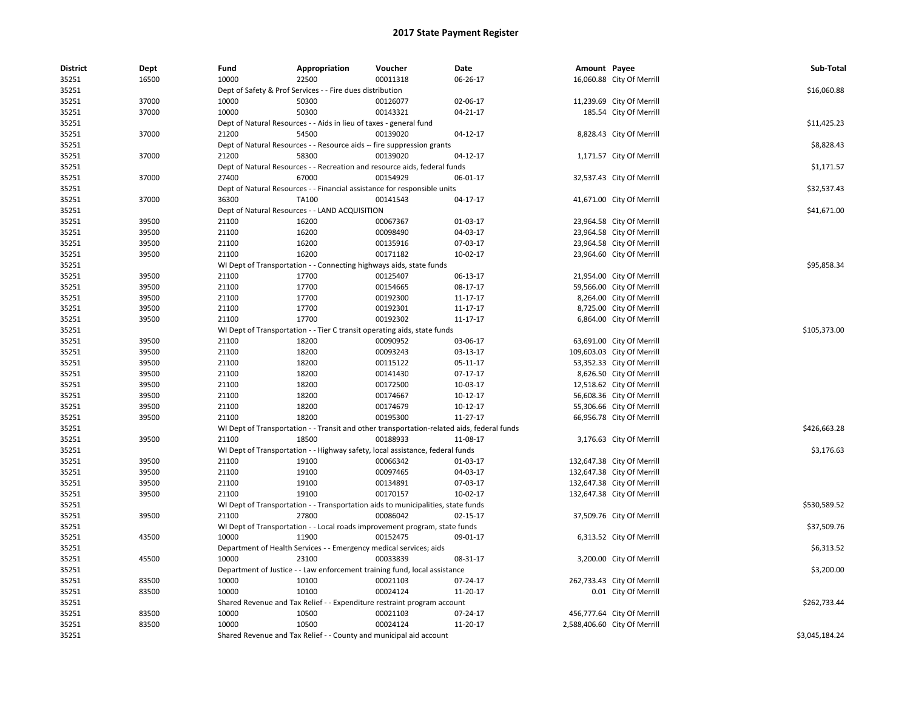| <b>District</b> | Dept  | Fund  | Appropriation                                                                              | Voucher  | Date           | Amount Payee |                              | Sub-Total      |
|-----------------|-------|-------|--------------------------------------------------------------------------------------------|----------|----------------|--------------|------------------------------|----------------|
| 35251           | 16500 | 10000 | 22500                                                                                      | 00011318 | 06-26-17       |              | 16,060.88 City Of Merrill    |                |
| 35251           |       |       | Dept of Safety & Prof Services - - Fire dues distribution                                  |          |                |              |                              | \$16,060.88    |
| 35251           | 37000 | 10000 | 50300                                                                                      | 00126077 | 02-06-17       |              | 11,239.69 City Of Merrill    |                |
| 35251           | 37000 | 10000 | 50300                                                                                      | 00143321 | $04 - 21 - 17$ |              | 185.54 City Of Merrill       |                |
| 35251           |       |       | Dept of Natural Resources - - Aids in lieu of taxes - general fund                         |          |                |              |                              | \$11,425.23    |
| 35251           | 37000 | 21200 | 54500                                                                                      | 00139020 | 04-12-17       |              | 8,828.43 City Of Merrill     |                |
| 35251           |       |       | Dept of Natural Resources - - Resource aids -- fire suppression grants                     |          |                |              |                              | \$8,828.43     |
| 35251           | 37000 | 21200 | 58300                                                                                      | 00139020 | $04-12-17$     |              | 1,171.57 City Of Merrill     |                |
| 35251           |       |       | Dept of Natural Resources - - Recreation and resource aids, federal funds                  |          |                |              |                              | \$1,171.57     |
| 35251           | 37000 | 27400 | 67000                                                                                      | 00154929 | 06-01-17       |              | 32,537.43 City Of Merrill    |                |
| 35251           |       |       | Dept of Natural Resources - - Financial assistance for responsible units                   |          |                |              |                              | \$32,537.43    |
| 35251           | 37000 | 36300 | TA100                                                                                      | 00141543 | 04-17-17       |              | 41,671.00 City Of Merrill    |                |
| 35251           |       |       | Dept of Natural Resources - - LAND ACQUISITION                                             |          |                |              |                              | \$41,671.00    |
| 35251           | 39500 | 21100 | 16200                                                                                      | 00067367 | 01-03-17       |              | 23,964.58 City Of Merrill    |                |
| 35251           | 39500 | 21100 | 16200                                                                                      | 00098490 | 04-03-17       |              | 23,964.58 City Of Merrill    |                |
| 35251           | 39500 | 21100 | 16200                                                                                      | 00135916 | 07-03-17       |              | 23,964.58 City Of Merrill    |                |
| 35251           | 39500 | 21100 | 16200                                                                                      | 00171182 | 10-02-17       |              | 23,964.60 City Of Merrill    |                |
| 35251           |       |       | WI Dept of Transportation - - Connecting highways aids, state funds                        |          |                |              |                              | \$95,858.34    |
| 35251           | 39500 | 21100 | 17700                                                                                      | 00125407 | 06-13-17       |              | 21,954.00 City Of Merrill    |                |
| 35251           | 39500 | 21100 | 17700                                                                                      | 00154665 | 08-17-17       |              | 59,566.00 City Of Merrill    |                |
| 35251           | 39500 | 21100 | 17700                                                                                      | 00192300 | 11-17-17       |              | 8,264.00 City Of Merrill     |                |
| 35251           | 39500 | 21100 | 17700                                                                                      | 00192301 | 11-17-17       |              | 8,725.00 City Of Merrill     |                |
| 35251           | 39500 | 21100 | 17700                                                                                      | 00192302 | 11-17-17       |              | 6,864.00 City Of Merrill     |                |
| 35251           |       |       | WI Dept of Transportation - - Tier C transit operating aids, state funds                   |          |                |              |                              | \$105,373.00   |
| 35251           | 39500 | 21100 | 18200                                                                                      | 00090952 | 03-06-17       |              | 63,691.00 City Of Merrill    |                |
| 35251           | 39500 | 21100 | 18200                                                                                      | 00093243 | 03-13-17       |              | 109,603.03 City Of Merrill   |                |
| 35251           | 39500 | 21100 | 18200                                                                                      | 00115122 | 05-11-17       |              | 53,352.33 City Of Merrill    |                |
| 35251           | 39500 | 21100 | 18200                                                                                      | 00141430 | 07-17-17       |              | 8,626.50 City Of Merrill     |                |
| 35251           | 39500 | 21100 | 18200                                                                                      | 00172500 | 10-03-17       |              | 12,518.62 City Of Merrill    |                |
| 35251           | 39500 | 21100 | 18200                                                                                      | 00174667 | 10-12-17       |              | 56,608.36 City Of Merrill    |                |
| 35251           | 39500 | 21100 | 18200                                                                                      | 00174679 | 10-12-17       |              | 55,306.66 City Of Merrill    |                |
| 35251           | 39500 | 21100 | 18200                                                                                      | 00195300 | 11-27-17       |              | 66,956.78 City Of Merrill    |                |
| 35251           |       |       | WI Dept of Transportation - - Transit and other transportation-related aids, federal funds |          |                |              |                              | \$426,663.28   |
| 35251           | 39500 | 21100 | 18500                                                                                      | 00188933 | 11-08-17       |              | 3,176.63 City Of Merrill     |                |
| 35251           |       |       | WI Dept of Transportation - - Highway safety, local assistance, federal funds              |          |                |              |                              | \$3,176.63     |
| 35251           | 39500 | 21100 | 19100                                                                                      | 00066342 | 01-03-17       |              | 132,647.38 City Of Merrill   |                |
| 35251           | 39500 | 21100 | 19100                                                                                      | 00097465 | 04-03-17       |              | 132,647.38 City Of Merrill   |                |
| 35251           | 39500 | 21100 | 19100                                                                                      | 00134891 | 07-03-17       |              | 132,647.38 City Of Merrill   |                |
| 35251           | 39500 | 21100 | 19100                                                                                      | 00170157 | 10-02-17       |              | 132,647.38 City Of Merrill   |                |
| 35251           |       |       | WI Dept of Transportation - - Transportation aids to municipalities, state funds           |          |                |              |                              | \$530,589.52   |
| 35251           | 39500 | 21100 | 27800                                                                                      | 00086042 | 02-15-17       |              | 37,509.76 City Of Merrill    |                |
| 35251           |       |       | WI Dept of Transportation - - Local roads improvement program, state funds                 |          |                |              |                              | \$37,509.76    |
| 35251           | 43500 | 10000 | 11900                                                                                      | 00152475 | 09-01-17       |              | 6,313.52 City Of Merrill     |                |
| 35251           |       |       | Department of Health Services - - Emergency medical services; aids                         |          |                |              |                              | \$6,313.52     |
| 35251           | 45500 | 10000 | 23100                                                                                      | 00033839 | 08-31-17       |              | 3,200.00 City Of Merrill     |                |
| 35251           |       |       | Department of Justice - - Law enforcement training fund, local assistance                  |          |                |              |                              | \$3,200.00     |
| 35251           | 83500 | 10000 | 10100                                                                                      | 00021103 | 07-24-17       |              | 262,733.43 City Of Merrill   |                |
| 35251           | 83500 | 10000 | 10100                                                                                      | 00024124 | 11-20-17       |              | 0.01 City Of Merrill         |                |
| 35251           |       |       | Shared Revenue and Tax Relief - - Expenditure restraint program account                    |          |                |              |                              | \$262,733.44   |
| 35251           | 83500 | 10000 | 10500                                                                                      | 00021103 | 07-24-17       |              | 456,777.64 City Of Merrill   |                |
| 35251           | 83500 | 10000 | 10500                                                                                      | 00024124 | 11-20-17       |              | 2,588,406.60 City Of Merrill |                |
| 35251           |       |       | Shared Revenue and Tax Relief - - County and municipal aid account                         |          |                |              |                              | \$3,045,184.24 |
|                 |       |       |                                                                                            |          |                |              |                              |                |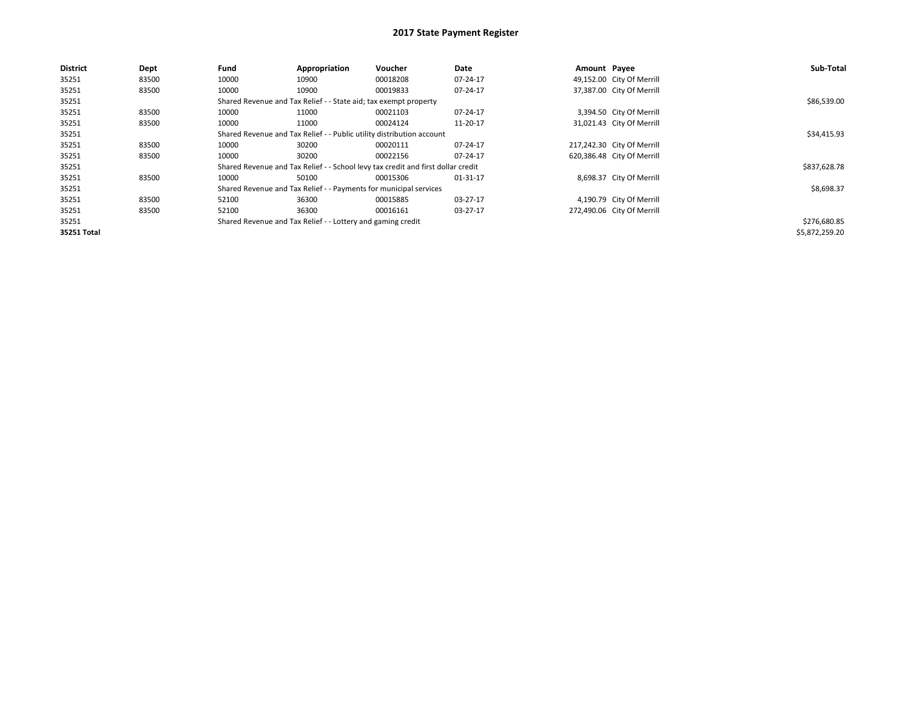| District    | Dept  | Fund  | Appropriation                                                         | Voucher                                                                          | Date     | Amount Payee |                            | Sub-Total      |
|-------------|-------|-------|-----------------------------------------------------------------------|----------------------------------------------------------------------------------|----------|--------------|----------------------------|----------------|
| 35251       | 83500 | 10000 | 10900                                                                 | 00018208                                                                         | 07-24-17 |              | 49,152.00 City Of Merrill  |                |
| 35251       | 83500 | 10000 | 10900                                                                 | 00019833                                                                         | 07-24-17 |              | 37,387.00 City Of Merrill  |                |
| 35251       |       |       | Shared Revenue and Tax Relief - - State aid; tax exempt property      |                                                                                  |          |              |                            | \$86,539.00    |
| 35251       | 83500 | 10000 | 11000                                                                 | 00021103                                                                         | 07-24-17 |              | 3,394.50 City Of Merrill   |                |
| 35251       | 83500 | 10000 | 11000                                                                 | 00024124                                                                         | 11-20-17 |              | 31,021.43 City Of Merrill  |                |
| 35251       |       |       | Shared Revenue and Tax Relief - - Public utility distribution account |                                                                                  |          |              |                            | \$34,415.93    |
| 35251       | 83500 | 10000 | 30200                                                                 | 00020111                                                                         | 07-24-17 |              | 217,242.30 City Of Merrill |                |
| 35251       | 83500 | 10000 | 30200                                                                 | 00022156                                                                         | 07-24-17 |              | 620,386.48 City Of Merrill |                |
| 35251       |       |       |                                                                       | Shared Revenue and Tax Relief - - School levy tax credit and first dollar credit |          |              |                            | \$837,628.78   |
| 35251       | 83500 | 10000 | 50100                                                                 | 00015306                                                                         | 01-31-17 |              | 8,698.37 City Of Merrill   |                |
| 35251       |       |       | Shared Revenue and Tax Relief - - Payments for municipal services     |                                                                                  |          |              |                            | \$8,698.37     |
| 35251       | 83500 | 52100 | 36300                                                                 | 00015885                                                                         | 03-27-17 |              | 4,190.79 City Of Merrill   |                |
| 35251       | 83500 | 52100 | 36300                                                                 | 00016161                                                                         | 03-27-17 |              | 272,490.06 City Of Merrill |                |
| 35251       |       |       | Shared Revenue and Tax Relief - - Lottery and gaming credit           |                                                                                  |          |              |                            | \$276,680.85   |
| 35251 Total |       |       |                                                                       |                                                                                  |          |              |                            | \$5,872,259.20 |